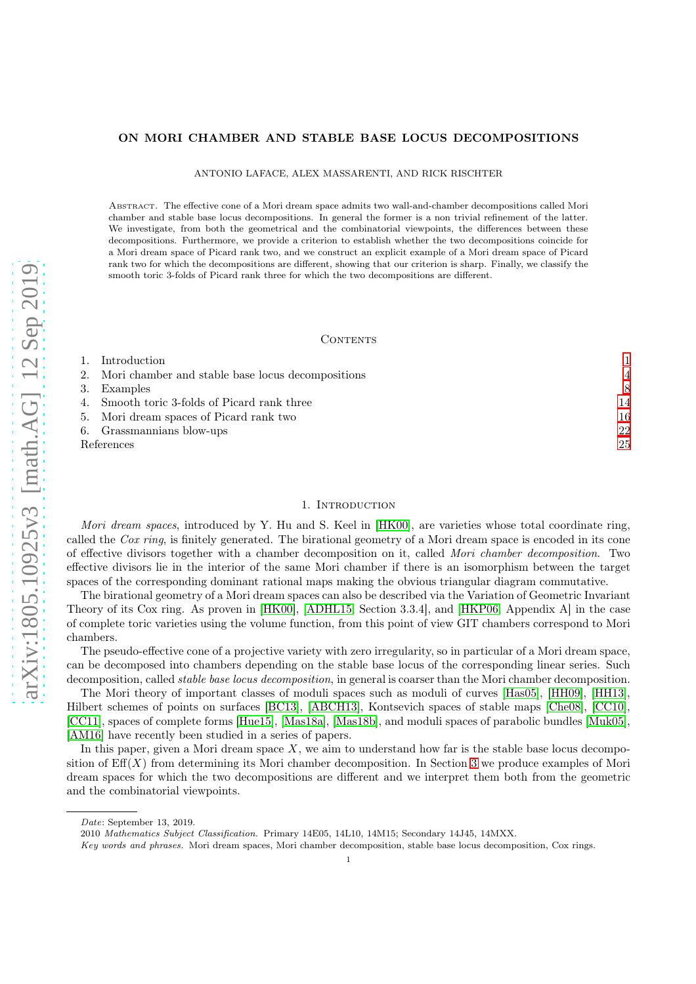# ON MORI CHAMBER AND STABLE BASE LOCUS DECOMPOSITIONS

ANTONIO LAFACE, ALEX MASSARENTI, AND RICK RISCHTER

Abstract. The effective cone of a Mori dream space admits two wall-and-chamber decompositions called Mori chamber and stable base locus decompositions. In general the former is a non trivial refinement of the latter. We investigate, from both the geometrical and the combinatorial viewpoints, the differences between these decompositions. Furthermore, we provide a criterion to establish whether the two decompositions coincide for a Mori dream space of Picard rank two, and we construct an explicit example of a Mori dream space of Picard rank two for which the decompositions are different, showing that our criterion is sharp. Finally, we classify the smooth toric 3-folds of Picard rank three for which the two decompositions are different.

#### CONTENTS

|            | 1. Introduction                                      |                |
|------------|------------------------------------------------------|----------------|
|            | 2. Mori chamber and stable base locus decompositions | $\overline{4}$ |
|            | 3. Examples                                          | 8              |
|            | 4. Smooth toric 3-folds of Picard rank three         | 14             |
|            | 5. Mori dream spaces of Picard rank two              | 16             |
|            | 6. Grassmannians blow-ups                            | 22             |
| References |                                                      | 25             |
|            |                                                      |                |

## 1. INTRODUCTION

<span id="page-0-0"></span>Mori dream spaces, introduced by Y. Hu and S. Keel in [\[HK00\]](#page-25-0), are varieties whose total coordinate ring, called the Cox ring, is finitely generated. The birational geometry of a Mori dream space is encoded in its cone of effective divisors together with a chamber decomposition on it, called Mori chamber decomposition. Two effective divisors lie in the interior of the same Mori chamber if there is an isomorphism between the target spaces of the corresponding dominant rational maps making the obvious triangular diagram commutative.

The birational geometry of a Mori dream spaces can also be described via the Variation of Geometric Invariant Theory of its Cox ring. As proven in [\[HK00\]](#page-25-0), [\[ADHL15,](#page-24-1) Section 3.3.4], and [\[HKP06,](#page-25-1) Appendix A] in the case of complete toric varieties using the volume function, from this point of view GIT chambers correspond to Mori chambers.

The pseudo-effective cone of a projective variety with zero irregularity, so in particular of a Mori dream space, can be decomposed into chambers depending on the stable base locus of the corresponding linear series. Such decomposition, called *stable base locus decomposition*, in general is coarser than the Mori chamber decomposition.

The Mori theory of important classes of moduli spaces such as moduli of curves [\[Has05\]](#page-24-2), [\[HH09\]](#page-25-2), [\[HH13\]](#page-25-3), Hilbert schemes of points on surfaces [\[BC13\]](#page-24-3), [\[ABCH13\]](#page-24-4), Kontsevich spaces of stable maps [\[Che08\]](#page-24-5), [\[CC10\]](#page-24-6), [\[CC11\]](#page-24-7), spaces of complete forms [\[Hue15\]](#page-25-4), [\[Mas18a\]](#page-25-5), [\[Mas18b\]](#page-25-6), and moduli spaces of parabolic bundles [\[Muk05\]](#page-25-7), [\[AM16\]](#page-24-8) have recently been studied in a series of papers.

In this paper, given a Mori dream space  $X$ , we aim to understand how far is the stable base locus decomposition of  $Eff(X)$  from determining its Mori chamber decomposition. In Section [3](#page-7-0) we produce examples of Mori dream spaces for which the two decompositions are different and we interpret them both from the geometric and the combinatorial viewpoints.

Date: September 13, 2019.

<sup>2010</sup> Mathematics Subject Classification. Primary 14E05, 14L10, 14M15; Secondary 14J45, 14MXX.

Key words and phrases. Mori dream spaces, Mori chamber decomposition, stable base locus decomposition, Cox rings.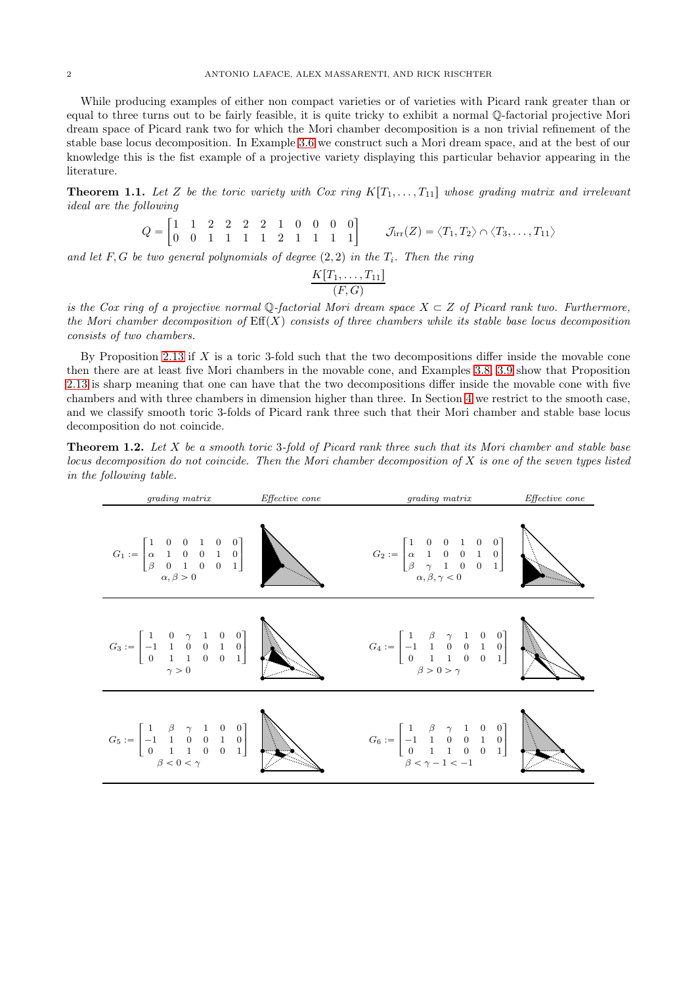While producing examples of either non compact varieties or of varieties with Picard rank greater than or equal to three turns out to be fairly feasible, it is quite tricky to exhibit a normal Q-factorial projective Mori dream space of Picard rank two for which the Mori chamber decomposition is a non trivial refinement of the stable base locus decomposition. In Example [3.6](#page-11-0) we construct such a Mori dream space, and at the best of our knowledge this is the fist example of a projective variety displaying this particular behavior appearing in the literature.

<span id="page-1-0"></span>**Theorem 1.1.** Let Z be the toric variety with Cox ring  $K[T_1, \ldots, T_{11}]$  whose grading matrix and irrelevant ideal are the following

$$
Q = \begin{bmatrix} 1 & 1 & 2 & 2 & 2 & 2 & 1 & 0 & 0 & 0 & 0 \\ 0 & 0 & 1 & 1 & 1 & 1 & 2 & 1 & 1 & 1 & 1 & 1 \end{bmatrix} \qquad \mathcal{J}_{irr}(Z) = \langle T_1, T_2 \rangle \cap \langle T_3, \ldots, T_{11} \rangle
$$

and let F, G be two general polynomials of degree  $(2, 2)$  in the  $T_i$ . Then the ring

$$
\frac{K[T_1,\ldots,T_{11}]}{(F,G)}
$$

is the Cox ring of a projective normal  $\mathbb{Q}$ -factorial Mori dream space  $X \subset Z$  of Picard rank two. Furthermore, the Mori chamber decomposition of  $Eff(X)$  consists of three chambers while its stable base locus decomposition consists of two chambers.

By Proposition [2.13](#page-6-0) if  $X$  is a toric 3-fold such that the two decompositions differ inside the movable cone then there are at least five Mori chambers in the movable cone, and Examples [3.8,](#page-12-0) [3.9](#page-12-1) show that Proposition [2.13](#page-6-0) is sharp meaning that one can have that the two decompositions differ inside the movable cone with five chambers and with three chambers in dimension higher than three. In Section [4](#page-13-0) we restrict to the smooth case, and we classify smooth toric 3-folds of Picard rank three such that their Mori chamber and stable base locus decomposition do not coincide.

<span id="page-1-1"></span>**Theorem 1.2.** Let X be a smooth toric 3-fold of Picard rank three such that its Mori chamber and stable base locus decomposition do not coincide. Then the Mori chamber decomposition of X is one of the seven types listed in the following table.

| <i>grading matrix</i>                                                                                                                                                                                                                                                               | <i>Effective cone</i> | grading matrix                                                                                                                                                                                                                                                              | <i>Effective cone</i> |
|-------------------------------------------------------------------------------------------------------------------------------------------------------------------------------------------------------------------------------------------------------------------------------------|-----------------------|-----------------------------------------------------------------------------------------------------------------------------------------------------------------------------------------------------------------------------------------------------------------------------|-----------------------|
| $G_1 := \begin{bmatrix} 1 & 0 & 0 & 1 & 0 & 0 \\ \alpha & 1 & 0 & 0 & 1 & 0 \\ \beta & 0 & 1 & 0 & 0 & 1 \end{bmatrix}$<br>$\alpha, \beta > 0$                                                                                                                                      |                       | $G_2 := \begin{bmatrix} 1 & 0 & 0 & 1 & 0 & 0 \\ \alpha & 1 & 0 & 0 & 1 & 0 \\ \beta & \gamma & 1 & 0 & 0 & 1 \\ \alpha, \beta, \gamma < 0 & & & \end{bmatrix}$<br>$\alpha, \beta, \gamma < 0$                                                                              |                       |
| $G_3:=\left[\begin{array}{cccccc}1 & 0 & \gamma & 1 & 0 & 0 \\ -1 & 1 & 0 & 0 & 1 & 0 \\ 0 & 1 & 1 & 0 & 0 & 1\end{array}\right] \quad \left.\rule{0cm}{4.5cm}\right.$<br>$\gamma > 0$                                                                                              |                       | $G_4:=\left[\begin{array}{cccccc} 1 & \beta & \gamma & 1 & 0 & 0 \\ -1 & 1 & 0 & 0 & 1 & 0 \\ 0 & 1 & 1 & 0 & 0 & 1 \end{array}\right] \quad .$<br>$\beta > 0 > \gamma$                                                                                                     |                       |
| $G_5:=\left[\begin{array}{ccccc} 1 & \beta & \gamma & 1 & 0 & 0 \\ -1 & 1 & 0 & 0 & 1 & 0 \\ 0 & 1 & 1 & 0 & 0 & 1 \end{array}\right] \quad \left(\begin{array}{c} \rule[1ex]{0ex}{4ex} \\ \rule[1ex]{0ex}{4ex} \\ \rule[1ex]{0ex}{4ex} \end{array}\right)$<br>$\beta < 0 < \gamma$ |                       | $G_6 := \left[ \begin{array}{ccccc} 1 & \beta & \gamma & 1 & 0 & 0 \\ -1 & 1 & 0 & 0 & 1 & 0 \\ 0 & 1 & 1 & 0 & 0 & 1 \\ 0 & 0 & 0 & 0 & 1 & 0 \\ 0 & 0 & 0 & 0 & 1 & 0 \\ 0 & 0 & 0 & 0 & 1 & 0 \\ 0 & 0 & 0 & 0 & 0 & 1 \end{array} \right]$<br>$\beta < \gamma - 1 < -1$ |                       |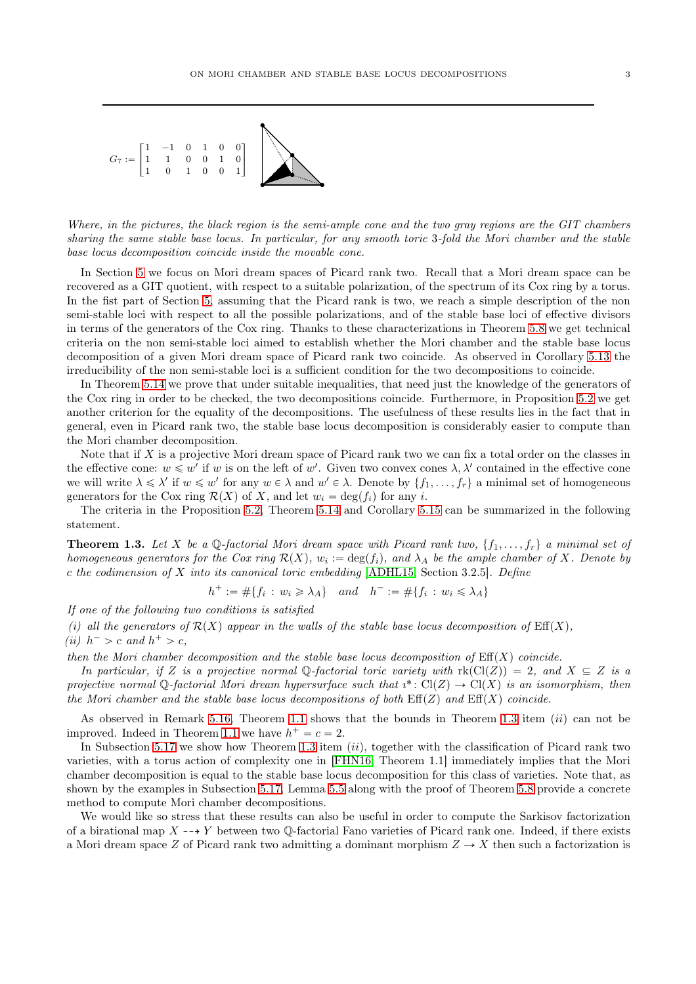

Where, in the pictures, the black region is the semi-ample cone and the two gray regions are the GIT chambers sharing the same stable base locus. In particular, for any smooth toric 3-fold the Mori chamber and the stable base locus decomposition coincide inside the movable cone.

In Section [5](#page-15-0) we focus on Mori dream spaces of Picard rank two. Recall that a Mori dream space can be recovered as a GIT quotient, with respect to a suitable polarization, of the spectrum of its Cox ring by a torus. In the fist part of Section [5,](#page-15-0) assuming that the Picard rank is two, we reach a simple description of the non semi-stable loci with respect to all the possible polarizations, and of the stable base loci of effective divisors in terms of the generators of the Cox ring. Thanks to these characterizations in Theorem [5.8](#page-16-0) we get technical criteria on the non semi-stable loci aimed to establish whether the Mori chamber and the stable base locus decomposition of a given Mori dream space of Picard rank two coincide. As observed in Corollary [5.13](#page-17-0) the irreducibility of the non semi-stable loci is a sufficient condition for the two decompositions to coincide.

In Theorem [5.14](#page-18-0) we prove that under suitable inequalities, that need just the knowledge of the generators of the Cox ring in order to be checked, the two decompositions coincide. Furthermore, in Proposition [5.2](#page-15-1) we get another criterion for the equality of the decompositions. The usefulness of these results lies in the fact that in general, even in Picard rank two, the stable base locus decomposition is considerably easier to compute than the Mori chamber decomposition.

Note that if X is a projective Mori dream space of Picard rank two we can fix a total order on the classes in the effective cone:  $w \leq w'$  if w is on the left of w'. Given two convex cones  $\lambda, \lambda'$  contained in the effective cone we will write  $\lambda \leq \lambda'$  if  $w \leq w'$  for any  $w \in \lambda$  and  $w' \in \lambda$ . Denote by  $\{f_1, \ldots, f_r\}$  a minimal set of homogeneous generators for the Cox ring  $\mathcal{R}(X)$  of X, and let  $w_i = \deg(f_i)$  for any i.

The criteria in the Proposition [5.2,](#page-15-1) Theorem [5.14](#page-18-0) and Corollary [5.15](#page-18-1) can be summarized in the following statement.

<span id="page-2-0"></span>**Theorem 1.3.** Let X be a Q-factorial Mori dream space with Picard rank two,  $\{f_1, \ldots, f_r\}$  a minimal set of homogeneous generators for the Cox ring  $\mathcal{R}(X)$ ,  $w_i := \deg(f_i)$ , and  $\lambda_A$  be the ample chamber of X. Denote by c the codimension of X into its canonical toric embedding [\[ADHL15,](#page-24-1) Section 3.2.5]. Define

 $h^+ := \#\{f_i : w_i \geq \lambda_A\}$  and  $h^- := \#\{f_i : w_i \leq \lambda_A\}$ 

If one of the following two conditions is satisfied

(i) all the generators of  $\mathcal{R}(X)$  appear in the walls of the stable base locus decomposition of  $\text{Eff}(X)$ , (ii)  $h^- > c$  and  $h^+ > c$ ,

then the Mori chamber decomposition and the stable base locus decomposition of  $\text{Eff}(X)$  coincide.

In particular, if Z is a projective normal Q-factorial toric variety with  $rk(Cl(Z)) = 2$ , and  $X \subseteq Z$  is a projective normal Q-factorial Mori dream hypersurface such that  $i^*: Cl(Z) \to Cl(X)$  is an isomorphism, then the Mori chamber and the stable base locus decompositions of both  $Eff(Z)$  and  $Eff(X)$  coincide.

As observed in Remark [5.16,](#page-19-0) Theorem [1.1](#page-1-0) shows that the bounds in Theorem [1.3](#page-2-0) item (ii) can not be improved. Indeed in Theorem [1.1](#page-1-0) we have  $h^+ = c = 2$ .

In Subsection [5.17](#page-19-1) we show how Theorem [1.3](#page-2-0) item  $(ii)$ , together with the classification of Picard rank two varieties, with a torus action of complexity one in [\[FHN16,](#page-24-9) Theorem 1.1] immediately implies that the Mori chamber decomposition is equal to the stable base locus decomposition for this class of varieties. Note that, as shown by the examples in Subsection [5.17,](#page-19-1) Lemma [5.5](#page-16-1) along with the proof of Theorem [5.8](#page-16-0) provide a concrete method to compute Mori chamber decompositions.

We would like so stress that these results can also be useful in order to compute the Sarkisov factorization of a birational map  $X \dashrightarrow Y$  between two Q-factorial Fano varieties of Picard rank one. Indeed, if there exists a Mori dream space Z of Picard rank two admitting a dominant morphism  $Z \to X$  then such a factorization is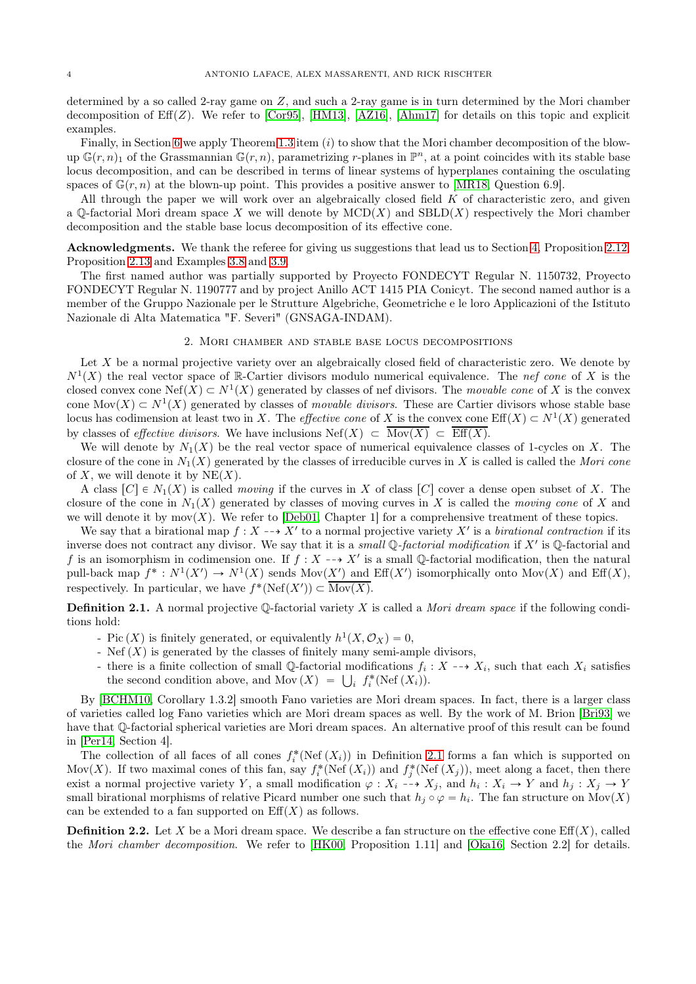determined by a so called 2-ray game on Z, and such a 2-ray game is in turn determined by the Mori chamber decomposition of  $Eff(Z)$ . We refer to [\[Cor95\]](#page-24-10), [\[HM13\]](#page-25-8), [\[AZ16\]](#page-24-11), [\[Ahm17\]](#page-24-12) for details on this topic and explicit examples.

Finally, in Section [6](#page-21-0) we apply Theorem [1.3](#page-2-0) item  $(i)$  to show that the Mori chamber decomposition of the blowup  $\mathbb{G}(r,n)_1$  of the Grassmannian  $\mathbb{G}(r,n)$ , parametrizing r-planes in  $\mathbb{P}^n$ , at a point coincides with its stable base locus decomposition, and can be described in terms of linear systems of hyperplanes containing the osculating spaces of  $\mathbb{G}(r, n)$  at the blown-up point. This provides a positive answer to [\[MR18,](#page-25-9) Question 6.9].

All through the paper we will work over an algebraically closed field  $K$  of characteristic zero, and given a  $\mathbb{O}\text{-}$  factorial Mori dream space X we will denote by  $\text{MCD}(X)$  and  $\text{SBD}(X)$  respectively the Mori chamber decomposition and the stable base locus decomposition of its effective cone.

Acknowledgments. We thank the referee for giving us suggestions that lead us to Section [4,](#page-13-0) Proposition [2.12,](#page-6-1) Proposition [2.13](#page-6-0) and Examples [3.8](#page-12-0) and [3.9.](#page-12-1)

The first named author was partially supported by Proyecto FONDECYT Regular N. 1150732, Proyecto FONDECYT Regular N. 1190777 and by project Anillo ACT 1415 PIA Conicyt. The second named author is a member of the Gruppo Nazionale per le Strutture Algebriche, Geometriche e le loro Applicazioni of the Istituto Nazionale di Alta Matematica "F. Severi" (GNSAGA-INDAM).

#### 2. Mori chamber and stable base locus decompositions

<span id="page-3-0"></span>Let X be a normal projective variety over an algebraically closed field of characteristic zero. We denote by  $N^1(X)$  the real vector space of R-Cartier divisors modulo numerical equivalence. The nef cone of X is the closed convex cone Nef $(X) \subset N^1(X)$  generated by classes of nef divisors. The movable cone of X is the convex cone Mov $(X) \subset N^1(X)$  generated by classes of movable divisors. These are Cartier divisors whose stable base locus has codimension at least two in X. The *effective cone* of X is the convex cone  $\text{Eff}(X) \subset N^1(X)$  generated by classes of *effective divisors*. We have inclusions  $\text{Nef}(X) \subset \overline{\text{Mov}(X)} \subset \overline{\text{Eff}(X)}$ .

We will denote by  $N_1(X)$  be the real vector space of numerical equivalence classes of 1-cycles on X. The closure of the cone in  $N_1(X)$  generated by the classes of irreducible curves in X is called is called the Mori cone of X, we will denote it by  $NE(X)$ .

A class  $[C] \in N_1(X)$  is called moving if the curves in X of class  $[C]$  cover a dense open subset of X. The closure of the cone in  $N_1(X)$  generated by classes of moving curves in X is called the moving cone of X and we will denote it by  $mov(X)$ . We refer to [\[Deb01,](#page-24-13) Chapter 1] for a comprehensive treatment of these topics.

We say that a birational map  $f: X \dashrightarrow X'$  to a normal projective variety X' is a birational contraction if its inverse does not contract any divisor. We say that it is a small  $\mathbb Q$ -factorial modification if  $X'$  is  $\mathbb Q$ -factorial and f is an isomorphism in codimension one. If  $f: X \dashrightarrow X'$  is a small Q-factorial modification, then the natural pull-back map  $f^*: N^1(X') \to N^1(X)$  sends  $Mov(X')$  and  $Eff(X')$  isomorphically onto  $Mov(X)$  and  $Eff(X)$ , respectively. In particular, we have  $f^*(\text{Nef}(X')) \subset \overline{\text{Mov}(X)}$ .

<span id="page-3-1"></span>**Definition 2.1.** A normal projective  $\mathbb{Q}$ -factorial variety X is called a *Mori dream space* if the following conditions hold:

- Pic  $(X)$  is finitely generated, or equivalently  $h^1(X, \mathcal{O}_X) = 0$ ,
- Nef  $(X)$  is generated by the classes of finitely many semi-ample divisors,
- there is a finite collection of small Q-factorial modifications  $f_i: X \dashrightarrow X_i$ , such that each  $X_i$  satisfies the second condition above, and Mov  $(X) = \bigcup_i f_i^*(\text{Nef}(X_i)).$

By [\[BCHM10,](#page-24-14) Corollary 1.3.2] smooth Fano varieties are Mori dream spaces. In fact, there is a larger class of varieties called log Fano varieties which are Mori dream spaces as well. By the work of M. Brion [\[Bri93\]](#page-24-15) we have that Q-factorial spherical varieties are Mori dream spaces. An alternative proof of this result can be found in [\[Per14,](#page-25-10) Section 4].

The collection of all faces of all cones  $f_i^*(\text{Nef}(X_i))$  in Definition [2.1](#page-3-1) forms a fan which is supported on Mov(X). If two maximal cones of this fan, say  $f_i^*(\text{Nef } (X_i))$  and  $f_j^*(\text{Nef } (X_j))$ , meet along a facet, then there exist a normal projective variety Y, a small modification  $\varphi: X_i \dashrightarrow X_j$ , and  $h_i: X_i \to Y$  and  $h_j: X_j \to Y$ small birational morphisms of relative Picard number one such that  $h_j \circ \varphi = h_i$ . The fan structure on  $\text{Mov}(X)$ can be extended to a fan supported on  $\mathrm{Eff}(X)$  as follows.

**Definition 2.2.** Let X be a Mori dream space. We describe a fan structure on the effective cone  $\text{Eff}(X)$ , called the Mori chamber decomposition. We refer to [\[HK00,](#page-25-0) Proposition 1.11] and [\[Oka16,](#page-25-11) Section 2.2] for details.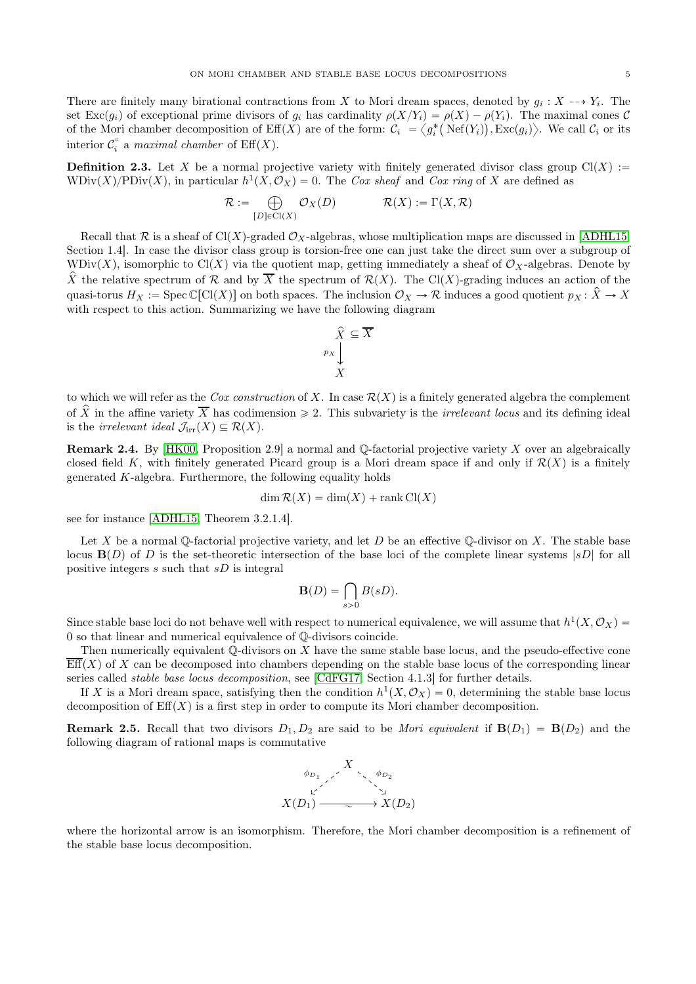There are finitely many birational contractions from X to Mori dream spaces, denoted by  $g_i : X \dashrightarrow Y_i$ . The set Exc $(g_i)$  of exceptional prime divisors of  $g_i$  has cardinality  $\rho(X/Y_i) = \rho(X) - \rho(Y_i)$ . The maximal cones C of the Mori chamber decomposition of  $\text{Eff}(X)$  are of the form:  $\mathcal{C}_i = \langle g_i^* \big( \text{Nef}(Y_i) \big), \text{Exc}(g_i) \rangle$ . We call  $\mathcal{C}_i$  or its interior  $\mathcal{C}_i^{\circ}$  a maximal chamber of  $\text{Eff}(X)$ .

**Definition 2.3.** Let X be a normal projective variety with finitely generated divisor class group  $Cl(X)$  :=  $WDiv(X)/PDiv(X)$ , in particular  $h^1(X, \mathcal{O}_X) = 0$ . The Cox sheaf and Cox ring of X are defined as

$$
\mathcal{R} := \bigoplus_{[D] \in \text{Cl}(X)} \mathcal{O}_X(D) \qquad \mathcal{R}(X) := \Gamma(X, \mathcal{R})
$$

Recall that R is a sheaf of Cl(X)-graded  $\mathcal{O}_X$ -algebras, whose multiplication maps are discussed in [\[ADHL15,](#page-24-1) Section 1.4]. In case the divisor class group is torsion-free one can just take the direct sum over a subgroup of WDiv $(X)$ , isomorphic to Cl $(X)$  via the quotient map, getting immediately a sheaf of  $\mathcal{O}_X$ -algebras. Denote by  $\hat{X}$  the relative spectrum of R and by  $\overline{X}$  the spectrum of  $\mathcal{R}(X)$ . The Cl(X)-grading induces an action of the quasi-torus  $H_X := \operatorname{Spec} \mathbb{C}[\mathrm{Cl}(X)]$  on both spaces. The inclusion  $\mathcal{O}_X \to \mathcal{R}$  induces a good quotient  $p_X : \hat{X} \to X$ with respect to this action. Summarizing we have the following diagram

$$
\hat{X} \subseteq \overline{X}
$$
  

$$
\begin{array}{c} p_X \\ X \end{array}
$$

to which we will refer as the Cox construction of X. In case  $\mathcal{R}(X)$  is a finitely generated algebra the complement of  $\hat{X}$  in the affine variety  $\overline{X}$  has codimension  $\geq 2$ . This subvariety is the *irrelevant locus* and its defining ideal is the *irrelevant ideal*  $\mathcal{J}_{irr}(X) \subseteq \mathcal{R}(X)$ .

<span id="page-4-0"></span>**Remark 2.4.** By [\[HK00,](#page-25-0) Proposition 2.9] a normal and  $\mathbb{Q}$ -factorial projective variety X over an algebraically closed field K, with finitely generated Picard group is a Mori dream space if and only if  $\mathcal{R}(X)$  is a finitely generated K-algebra. Furthermore, the following equality holds

$$
\dim \mathcal{R}(X) = \dim(X) + \text{rank } Cl(X)
$$

see for instance [\[ADHL15,](#page-24-1) Theorem 3.2.1.4].

Let X be a normal Q-factorial projective variety, and let D be an effective Q-divisor on X. The stable base locus  $\mathbf{B}(D)$  of D is the set-theoretic intersection of the base loci of the complete linear systems  $|sD|$  for all positive integers  $s$  such that  $sD$  is integral

$$
\mathbf{B}(D) = \bigcap_{s>0} B(sD).
$$

Since stable base loci do not behave well with respect to numerical equivalence, we will assume that  $h^1(X, \mathcal{O}_X)$  = 0 so that linear and numerical equivalence of Q-divisors coincide.

Then numerically equivalent  $\mathbb Q$ -divisors on X have the same stable base locus, and the pseudo-effective cone  $\overline{\text{Eff}}(X)$  of X can be decomposed into chambers depending on the stable base locus of the corresponding linear series called *stable base locus decomposition*, see [\[CdFG17,](#page-24-16) Section 4.1.3] for further details.

If X is a Mori dream space, satisfying then the condition  $h^1(X, \mathcal{O}_X) = 0$ , determining the stable base locus decomposition of  $\mathrm{Eff}(X)$  is a first step in order to compute its Mori chamber decomposition.

**Remark 2.5.** Recall that two divisors  $D_1, D_2$  are said to be Mori equivalent if  $B(D_1) = B(D_2)$  and the following diagram of rational maps is commutative



where the horizontal arrow is an isomorphism. Therefore, the Mori chamber decomposition is a refinement of the stable base locus decomposition.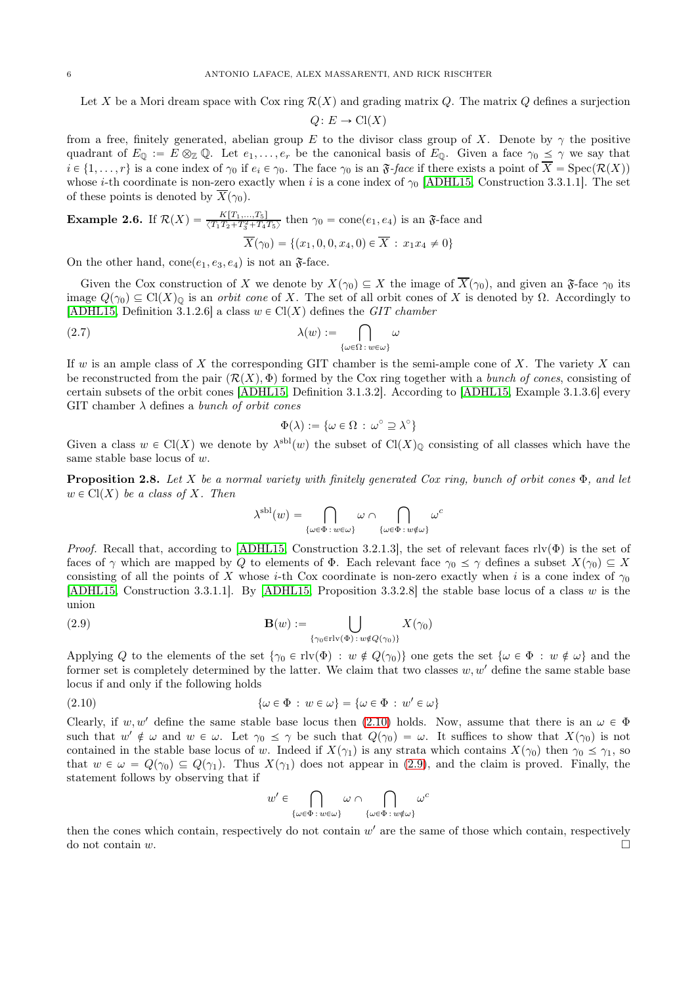Let X be a Mori dream space with Cox ring  $\mathcal{R}(X)$  and grading matrix Q. The matrix Q defines a surjection

$$
Q \colon E \to \operatorname{Cl}(X)
$$

from a free, finitely generated, abelian group E to the divisor class group of X. Denote by  $\gamma$  the positive quadrant of  $E_0 := E \otimes_{\mathbb{Z}} \mathbb{Q}$ . Let  $e_1, \ldots, e_r$  be the canonical basis of  $E_0$ . Given a face  $\gamma_0 \leq \gamma$  we say that  $i \in \{1, \ldots, r\}$  is a cone index of  $\gamma_0$  if  $e_i \in \gamma_0$ . The face  $\gamma_0$  is an  $\mathfrak{F}$ -face if there exists a point of  $\overline{X} = \text{Spec}(\mathcal{R}(X))$ whose *i*-th coordinate is non-zero exactly when *i* is a cone index of  $\gamma_0$  [\[ADHL15,](#page-24-1) Construction 3.3.1.1]. The set of these points is denoted by  $\overline{X}(\gamma_0)$ .

**Example 2.6.** If  $\mathcal{R}(X) = \frac{K[T_1,...,T_5]}{\langle T_1T_2+T_3^2+T_4T_5 \rangle}$  then  $\gamma_0 = \text{cone}(e_1, e_4)$  is an  $\mathfrak{F}$ -face and

$$
\overline{X}(\gamma_0) = \{(x_1, 0, 0, x_4, 0) \in \overline{X} : x_1 x_4 \neq 0\}
$$

On the other hand, cone( $e_1, e_3, e_4$ ) is not an  $\mathfrak{F}\text{-}$ face.

Given the Cox construction of X we denote by  $X(\gamma_0) \subseteq X$  the image of  $\overline{X}(\gamma_0)$ , and given an  $\mathfrak{F}$ -face  $\gamma_0$  its image  $Q(\gamma_0) \subseteq \text{Cl}(X)_{\mathbb{Q}}$  is an *orbit cone* of X. The set of all orbit cones of X is denoted by  $\Omega$ . Accordingly to [\[ADHL15,](#page-24-1) Definition 3.1.2.6] a class  $w \in \text{Cl}(X)$  defines the GIT chamber

$$
\lambda(w) := \bigcap_{\{\omega \in \Omega : w \in \omega\}} \omega
$$

If w is an ample class of X the corresponding GIT chamber is the semi-ample cone of X. The variety X can be reconstructed from the pair  $(\mathcal{R}(X), \Phi)$  formed by the Cox ring together with a *bunch of cones*, consisting of certain subsets of the orbit cones [\[ADHL15,](#page-24-1) Definition 3.1.3.2]. According to [\[ADHL15,](#page-24-1) Example 3.1.3.6] every GIT chamber  $\lambda$  defines a *bunch of orbit cones* 

<span id="page-5-3"></span>
$$
\Phi(\lambda) := \{ \omega \in \Omega \, : \, \omega^{\circ} \supseteq \lambda^{\circ} \}
$$

Given a class  $w \in \mathrm{Cl}(X)$  we denote by  $\lambda^{\mathrm{sh}}(w)$  the subset of  $\mathrm{Cl}(X)_{\mathbb{Q}}$  consisting of all classes which have the same stable base locus of w.

<span id="page-5-2"></span>**Proposition 2.8.** Let X be a normal variety with finitely generated Cox ring, bunch of orbit cones  $\Phi$ , and let  $w \in \mathrm{Cl}(X)$  be a class of X. Then

<span id="page-5-1"></span>
$$
\lambda^{\mathrm{sbl}}(w) = \bigcap_{\{\omega \in \Phi \,:\, w \in \omega\}} \omega \cap \bigcap_{\{\omega \in \Phi \,:\, w \notin \omega\}} \omega^c
$$

*Proof.* Recall that, according to [\[ADHL15,](#page-24-1) Construction 3.2.1.3], the set of relevant faces rlv $(\Phi)$  is the set of faces of  $\gamma$  which are mapped by Q to elements of  $\Phi$ . Each relevant face  $\gamma_0 \leq \gamma$  defines a subset  $X(\gamma_0) \subseteq X$ consisting of all the points of X whose i-th Cox coordinate is non-zero exactly when i is a cone index of  $\gamma_0$ [\[ADHL15,](#page-24-1) Construction 3.3.1.1]. By [\[ADHL15,](#page-24-1) Proposition 3.3.2.8] the stable base locus of a class w is the union

(2.9) 
$$
\mathbf{B}(w) := \bigcup_{\{\gamma_0 \in \text{rlv}(\Phi) : w \notin Q(\gamma_0)\}} X(\gamma_0)
$$

Applying Q to the elements of the set  $\{\gamma_0 \in \text{rlv}(\Phi) : w \notin Q(\gamma_0)\}$  one gets the set  $\{\omega \in \Phi : w \notin \omega\}$  and the former set is completely determined by the latter. We claim that two classes  $w, w'$  define the same stable base locus if and only if the following holds

(2.10) 
$$
\{\omega \in \Phi : w \in \omega\} = \{\omega \in \Phi : w' \in \omega\}
$$

Clearly, if w, w' define the same stable base locus then [\(2.10\)](#page-5-0) holds. Now, assume that there is an  $\omega \in \Phi$ such that  $w' \notin \omega$  and  $w \in \omega$ . Let  $\gamma_0 \leq \gamma$  be such that  $Q(\gamma_0) = \omega$ . It suffices to show that  $X(\gamma_0)$  is not contained in the stable base locus of w. Indeed if  $X(\gamma_1)$  is any strata which contains  $X(\gamma_0)$  then  $\gamma_0 \leq \gamma_1$ , so that  $w \in \omega = Q(\gamma_0) \subseteq Q(\gamma_1)$ . Thus  $X(\gamma_1)$  does not appear in [\(2.9\)](#page-5-1), and the claim is proved. Finally, the statement follows by observing that if

<span id="page-5-0"></span>
$$
w'\in \bigcap_{\{\omega\in \Phi\colon w\in \omega\}}\omega\cap \bigcap_{\{\omega\in \Phi\colon w\notin \omega\}}\omega^c
$$

then the cones which contain, respectively do not contain  $w'$  are the same of those which contain, respectively do not contain  $w$ .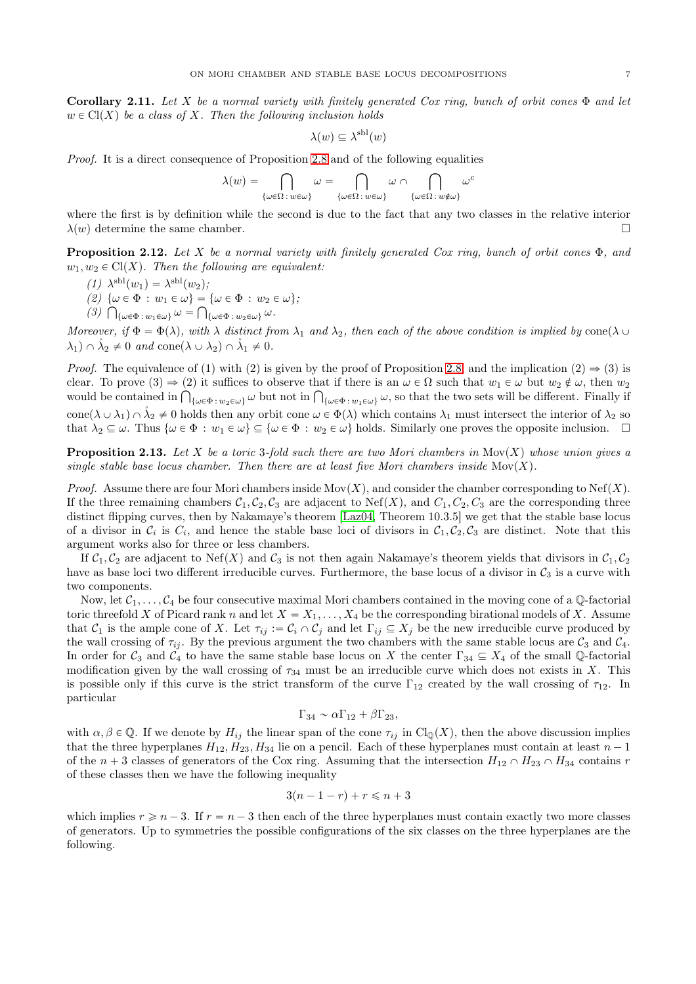Corollary 2.11. Let X be a normal variety with finitely generated Cox ring, bunch of orbit cones  $\Phi$  and let  $w \in \text{Cl}(X)$  be a class of X. Then the following inclusion holds

$$
\lambda(w) \subseteq \lambda^{\text{sbl}}(w)
$$

Proof. It is a direct consequence of Proposition [2.8](#page-5-2) and of the following equalities

$$
\lambda(w)=\bigcap_{\{\omega\in\Omega\colon w\in\omega\}}\omega=\bigcap_{\{\omega\in\Omega\colon w\in\omega\}}\omega\cap\bigcap_{\{\omega\in\Omega\colon w\notin\omega\}}\omega^c
$$

where the first is by definition while the second is due to the fact that any two classes in the relative interior  $\lambda(w)$  determine the same chamber.

<span id="page-6-1"></span>**Proposition 2.12.** Let X be a normal variety with finitely generated Cox ring, bunch of orbit cones  $\Phi$ , and  $w_1, w_2 \in \mathrm{Cl}(X)$ . Then the following are equivalent:

- (1)  $\lambda^{\text{sh}}(w_1) = \lambda^{\text{sh}}(w_2);$
- (2)  $\{\omega \in \Phi : w_1 \in \omega\} = {\omega \in \Phi : w_2 \in \omega};$
- $(3)$   $\bigcap_{\{\omega \in \Phi \,:\, w_1 \in \omega\}} \omega = \bigcap_{\{\omega \in \Phi \,:\, w_2 \in \omega\}} \omega.$

Moreover, if  $\Phi = \Phi(\lambda)$ , with  $\lambda$  distinct from  $\lambda_1$  and  $\lambda_2$ , then each of the above condition is implied by cone $(\lambda \cup$  $\lambda_1 \cap \lambda_2 \neq 0$  and cone $(\lambda \cup \lambda_2) \cap \lambda_1 \neq 0$ .

*Proof.* The equivalence of (1) with (2) is given by the proof of Proposition [2.8,](#page-5-2) and the implication (2)  $\Rightarrow$  (3) is clear. To prove  $(3) \Rightarrow (2)$  it suffices to observe that if there is an  $\omega \in \Omega$  such that  $w_1 \in \omega$  but  $w_2 \notin \omega$ , then  $w_2$ would be contained in  $\bigcap_{\{\omega \in \Phi\colon w_2 \in \omega\}} \omega$  but not in  $\bigcap_{\{\omega \in \Phi\colon w_1 \in \omega\}} \omega$ , so that the two sets will be different. Finally if cone $(\lambda \cup \lambda_1) \cap \mathring{\lambda}_2 \neq 0$  holds then any orbit cone  $\omega \in \Phi(\lambda)$  which contains  $\lambda_1$  must intersect the interior of  $\lambda_2$  so that  $\lambda_2 \subseteq \omega$ . Thus  $\{\omega \in \Phi : w_1 \in \omega\} \subseteq \{\omega \in \Phi : w_2 \in \omega\}$  holds. Similarly one proves the opposite inclusion.  $\square$ 

<span id="page-6-0"></span>**Proposition 2.13.** Let X be a toric 3-fold such there are two Mori chambers in  $\text{Mov}(X)$  whose union gives a single stable base locus chamber. Then there are at least five Mori chambers inside  $\text{Mov}(X)$ .

*Proof.* Assume there are four Mori chambers inside Mov $(X)$ , and consider the chamber corresponding to Nef $(X)$ . If the three remaining chambers  $C_1, C_2, C_3$  are adjacent to Nef(X), and  $C_1, C_2, C_3$  are the corresponding three distinct flipping curves, then by Nakamaye's theorem [\[Laz04,](#page-25-12) Theorem 10.3.5] we get that the stable base locus of a divisor in  $C_i$  is  $C_i$ , and hence the stable base loci of divisors in  $C_1, C_2, C_3$  are distinct. Note that this argument works also for three or less chambers.

If  $C_1, C_2$  are adjacent to Nef(X) and  $C_3$  is not then again Nakamaye's theorem yields that divisors in  $C_1, C_2$ have as base loci two different irreducible curves. Furthermore, the base locus of a divisor in  $\mathcal{C}_3$  is a curve with two components.

Now, let  $C_1, \ldots, C_4$  be four consecutive maximal Mori chambers contained in the moving cone of a Q-factorial toric threefold X of Picard rank n and let  $X = X_1, \ldots, X_4$  be the corresponding birational models of X. Assume that  $C_1$  is the ample cone of X. Let  $\tau_{ij} := C_i \cap C_j$  and let  $\Gamma_{ij} \subseteq X_j$  be the new irreducible curve produced by the wall crossing of  $\tau_{ij}$ . By the previous argument the two chambers with the same stable locus are  $\mathcal{C}_3$  and  $\mathcal{C}_4$ . In order for  $C_3$  and  $C_4$  to have the same stable base locus on X the center  $\Gamma_{34} \subseteq X_4$  of the small Q-factorial modification given by the wall crossing of  $\tau_{34}$  must be an irreducible curve which does not exists in X. This is possible only if this curve is the strict transform of the curve  $\Gamma_{12}$  created by the wall crossing of  $\tau_{12}$ . In particular

$$
\Gamma_{34} \sim \alpha \Gamma_{12} + \beta \Gamma_{23},
$$

with  $\alpha, \beta \in \mathbb{Q}$ . If we denote by  $H_{ij}$  the linear span of the cone  $\tau_{ij}$  in  $\text{Cl}_{\mathbb{Q}}(X)$ , then the above discussion implies that the three hyperplanes  $H_{12}, H_{23}, H_{34}$  lie on a pencil. Each of these hyperplanes must contain at least  $n-1$ of the  $n + 3$  classes of generators of the Cox ring. Assuming that the intersection  $H_{12} \cap H_{23} \cap H_{34}$  contains r of these classes then we have the following inequality

$$
3(n-1-r) + r \leq n+3
$$

which implies  $r \geq n - 3$ . If  $r = n - 3$  then each of the three hyperplanes must contain exactly two more classes of generators. Up to symmetries the possible configurations of the six classes on the three hyperplanes are the following.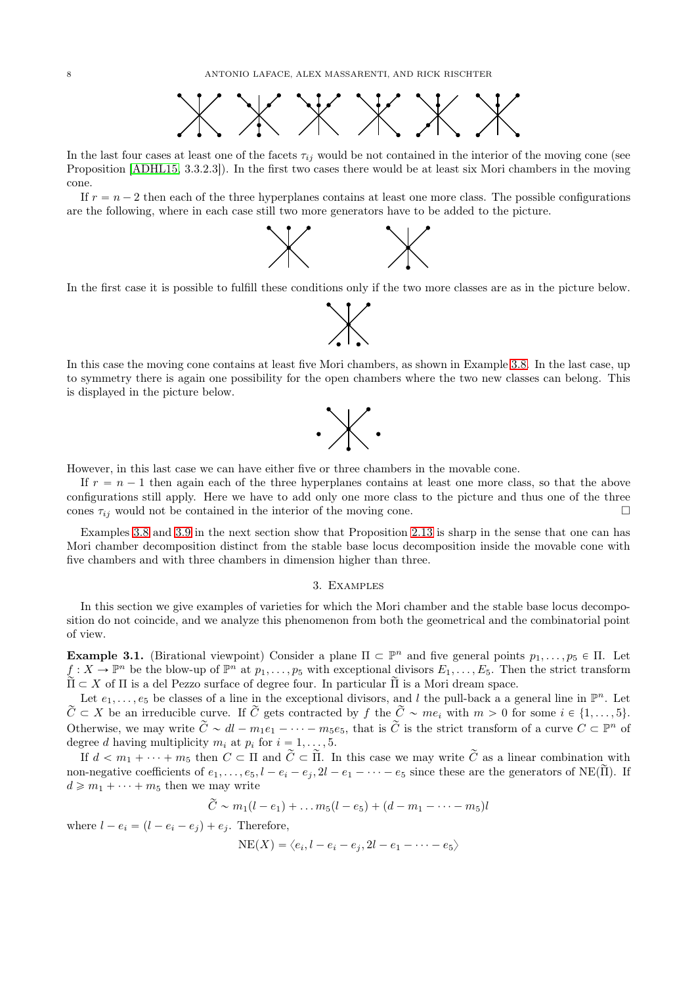

In the last four cases at least one of the facets  $\tau_{ij}$  would be not contained in the interior of the moving cone (see Proposition [\[ADHL15,](#page-24-1) 3.3.2.3]). In the first two cases there would be at least six Mori chambers in the moving cone.

If  $r = n - 2$  then each of the three hyperplanes contains at least one more class. The possible configurations are the following, where in each case still two more generators have to be added to the picture.



In the first case it is possible to fulfill these conditions only if the two more classes are as in the picture below.



In this case the moving cone contains at least five Mori chambers, as shown in Example [3.8.](#page-12-0) In the last case, up to symmetry there is again one possibility for the open chambers where the two new classes can belong. This is displayed in the picture below.



However, in this last case we can have either five or three chambers in the movable cone.

If  $r = n - 1$  then again each of the three hyperplanes contains at least one more class, so that the above configurations still apply. Here we have to add only one more class to the picture and thus one of the three cones  $\tau_{ii}$  would not be contained in the interior of the moving cone.

Examples [3.8](#page-12-0) and [3.9](#page-12-1) in the next section show that Proposition [2.13](#page-6-0) is sharp in the sense that one can has Mori chamber decomposition distinct from the stable base locus decomposition inside the movable cone with five chambers and with three chambers in dimension higher than three.

### 3. Examples

<span id="page-7-0"></span>In this section we give examples of varieties for which the Mori chamber and the stable base locus decomposition do not coincide, and we analyze this phenomenon from both the geometrical and the combinatorial point of view.

**Example 3.1.** (Birational viewpoint) Consider a plane  $\Pi \subset \mathbb{P}^n$  and five general points  $p_1, \ldots, p_5 \in \Pi$ . Let  $f: X \to \mathbb{P}^n$  be the blow-up of  $\mathbb{P}^n$  at  $p_1, \ldots, p_5$  with exceptional divisors  $E_1, \ldots, E_5$ . Then the strict transform  $\widetilde{\Pi} \subset X$  of  $\Pi$  is a del Pezzo surface of degree four. In particular  $\widetilde{\Pi}$  is a Mori dream space.

Let  $e_1, \ldots, e_5$  be classes of a line in the exceptional divisors, and l the pull-back a a general line in  $\mathbb{P}^n$ . Let  $\widetilde{C} \subset X$  be an irreducible curve. If  $\widetilde{C}$  gets contracted by f the  $\widetilde{C} \sim me_i$  with  $m > 0$  for some  $i \in \{1, \ldots, 5\}$ . Otherwise, we may write  $\tilde{C} \sim dl - m_1e_1 - \cdots - m_5e_5$ , that is  $\tilde{C}$  is the strict transform of a curve  $C \subset \mathbb{P}^n$  of degree d having multiplicity  $m_i$  at  $p_i$  for  $i = 1, ..., 5$ .

If  $d < m_1 + \cdots + m_5$  then  $C \subset \Pi$  and  $\tilde{C} \subset \tilde{\Pi}$ . In this case we may write  $\tilde{C}$  as a linear combination with non-negative coefficients of  $e_1, \ldots, e_5, l - e_i - e_j, 2l - e_1 - \cdots - e_5$  since these are the generators of NE( $\tilde{\Pi}$ ). If  $d \geqslant m_1 + \cdots + m_5$  then we may write

$$
C \sim m_1(l - e_1) + \ldots m_5(l - e_5) + (d - m_1 - \cdots - m_5)l
$$

where  $l - e_i = (l - e_i - e_j) + e_i$ . Therefore,

 $NE(X) = \langle e_i, l - e_i - e_j, 2l - e_1 - \cdots - e_5 \rangle$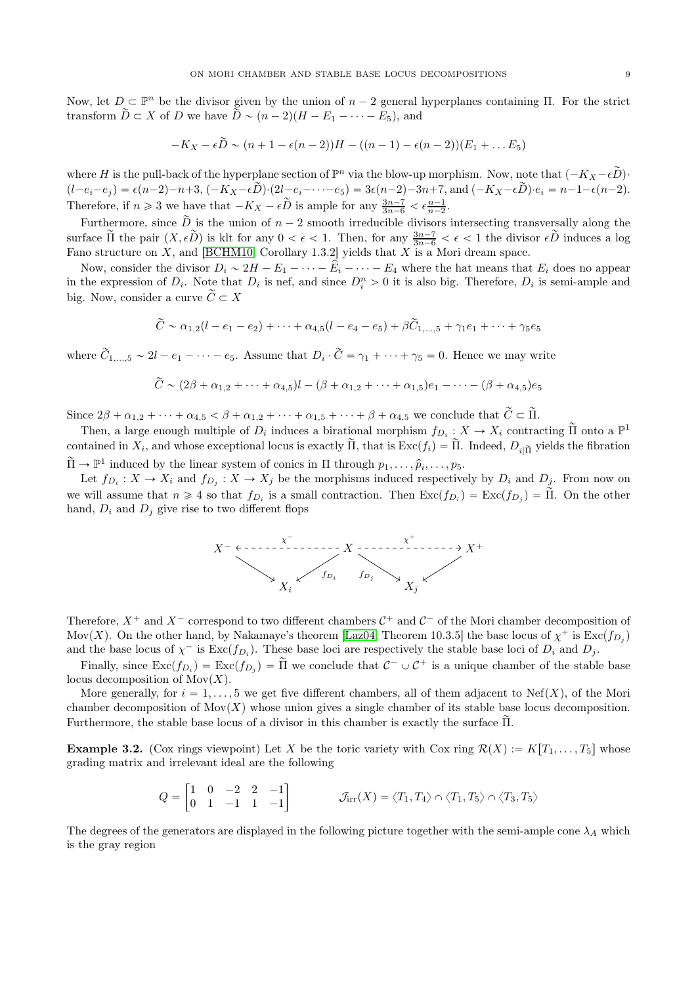Now, let  $D \subset \mathbb{P}^n$  be the divisor given by the union of  $n-2$  general hyperplanes containing  $\Pi$ . For the strict transform  $\widetilde{D} \subset X$  of D we have  $\widetilde{D} \sim (n - 2)(H - E_1 - \cdots - E_5)$ , and

$$
-K_X-\epsilon \widetilde{D} \sim (n+1-\epsilon(n-2))H-((n-1)-\epsilon(n-2))(E_1+\ldots E_5)
$$

where H is the pull-back of the hyperplane section of  $\mathbb{P}^n$  via the blow-up morphism. Now, note that  $(-K_X - \epsilon \widetilde{D})$ .  $(b-e_i-e_j) = \epsilon(n-2)-n+3$ ,  $(-K_X-\epsilon \widetilde{D}) \cdot (2l-e_i-\cdots-e_5) = 3\epsilon(n-2)-3n+7$ , and  $(-K_X-\epsilon \widetilde{D}) \cdot e_i = n-1-\epsilon(n-2)$ . Therefore, if  $n \ge 3$  we have that  $-K_X - \epsilon \widetilde{D}$  is ample for any  $\frac{3n-7}{3n-6} < \epsilon \frac{n-1}{n-2}$ .

Furthermore, since  $\tilde{D}$  is the union of  $n-2$  smooth irreducible divisors intersecting transversally along the surface  $\tilde{\Pi}$  the pair  $(X, \epsilon \tilde{D})$  is klt for any  $0 < \epsilon < 1$ . Then, for any  $\frac{3n-7}{3n-6} < \epsilon < 1$  the divisor  $\epsilon \tilde{D}$  induces a log Fano structure on  $X$ , and [\[BCHM10,](#page-24-14) Corollary 1.3.2] yields that  $X$  is a Mori dream space.

Now, consider the divisor  $D_i \sim 2H - E_1 - \cdots - \hat{E}_i - \cdots - E_4$  where the hat means that  $E_i$  does no appear in the expression of  $D_i$ . Note that  $D_i$  is nef, and since  $D_i^n > 0$  it is also big. Therefore,  $D_i$  is semi-ample and big. Now, consider a curve  $\widetilde{C} \subset X$ 

$$
\widetilde{C} \sim \alpha_{1,2}(l - e_1 - e_2) + \cdots + \alpha_{4,5}(l - e_4 - e_5) + \beta \widetilde{C}_{1,\ldots,5} + \gamma_1 e_1 + \cdots + \gamma_5 e_5
$$

where  $C_{1,...,5} \sim 2l - e_1 - \cdots - e_5$ . Assume that  $D_i \cdot C = \gamma_1 + \cdots + \gamma_5 = 0$ . Hence we may write

$$
\widetilde{C} \sim (2\beta + \alpha_{1,2} + \cdots + \alpha_{4,5})l - (\beta + \alpha_{1,2} + \cdots + \alpha_{1,5})e_1 - \cdots - (\beta + \alpha_{4,5})e_5
$$

Since  $2\beta + \alpha_{1,2} + \cdots + \alpha_{4,5} < \beta + \alpha_{1,2} + \cdots + \alpha_{1,5} + \cdots + \beta + \alpha_{4,5}$  we conclude that  $\widetilde{C} \subset \widetilde{\Pi}$ .

Then, a large enough multiple of  $D_i$  induces a birational morphism  $f_{D_i}: X \to X_i$  contracting  $\tilde{\Pi}$  onto a  $\mathbb{P}^1$ contained in  $X_i$ , and whose exceptional locus is exactly  $\Pi$ , that is  $\text{Exc}(f_i) = \Pi$ . Indeed,  $D_{i|\tilde{\Pi}}$  yields the fibration  $\widetilde{\Pi} \to \mathbb{P}^1$  induced by the linear system of conics in  $\Pi$  through  $p_1, \ldots, \widehat{p}_i, \ldots, p_5$ .

Let  $f_{D_i}: X \to X_i$  and  $f_{D_j}: X \to X_j$  be the morphisms induced respectively by  $D_i$  and  $D_j$ . From now on we will assume that  $n \geq 4$  so that  $f_{D_i}$  is a small contraction. Then  $\text{Exc}(f_{D_i}) = \text{Exc}(f_{D_j}) = \Pi$ . On the other hand,  $D_i$  and  $D_j$  give rise to two different flops



Therefore,  $X^+$  and  $X^-$  correspond to two different chambers  $\mathcal{C}^+$  and  $\mathcal{C}^-$  of the Mori chamber decomposition of Mov(X). On the other hand, by Nakamaye's theorem [\[Laz04,](#page-25-12) Theorem 10.3.5] the base locus of  $\chi^+$  is  $\text{Exc}(f_{D_j})$ and the base locus of  $\chi^-$  is  $\text{Exc}(f_{D_i})$ . These base loci are respectively the stable base loci of  $D_i$  and  $D_j$ .

Finally, since  $\text{Exc}(f_{D_i}) = \text{Exc}(f_{D_j}) = \tilde{\Pi}$  we conclude that  $C^- \cup C^+$  is a unique chamber of the stable base locus decomposition of  $Mov(X)$ .

More generally, for  $i = 1, \ldots, 5$  we get five different chambers, all of them adjacent to Nef(X), of the Mori chamber decomposition of  $\text{Mov}(X)$  whose union gives a single chamber of its stable base locus decomposition. Furthermore, the stable base locus of a divisor in this chamber is exactly the surface  $\tilde{\Pi}$ .

<span id="page-8-0"></span>**Example 3.2.** (Cox rings viewpoint) Let X be the toric variety with Cox ring  $\mathcal{R}(X) := K[T_1, \ldots, T_5]$  whose grading matrix and irrelevant ideal are the following

$$
Q = \begin{bmatrix} 1 & 0 & -2 & 2 & -1 \\ 0 & 1 & -1 & 1 & -1 \end{bmatrix} \qquad \qquad \mathcal{J}_{irr}(X) = \langle T_1, T_4 \rangle \cap \langle T_1, T_5 \rangle \cap \langle T_3, T_5 \rangle
$$

The degrees of the generators are displayed in the following picture together with the semi-ample cone  $\lambda_A$  which is the gray region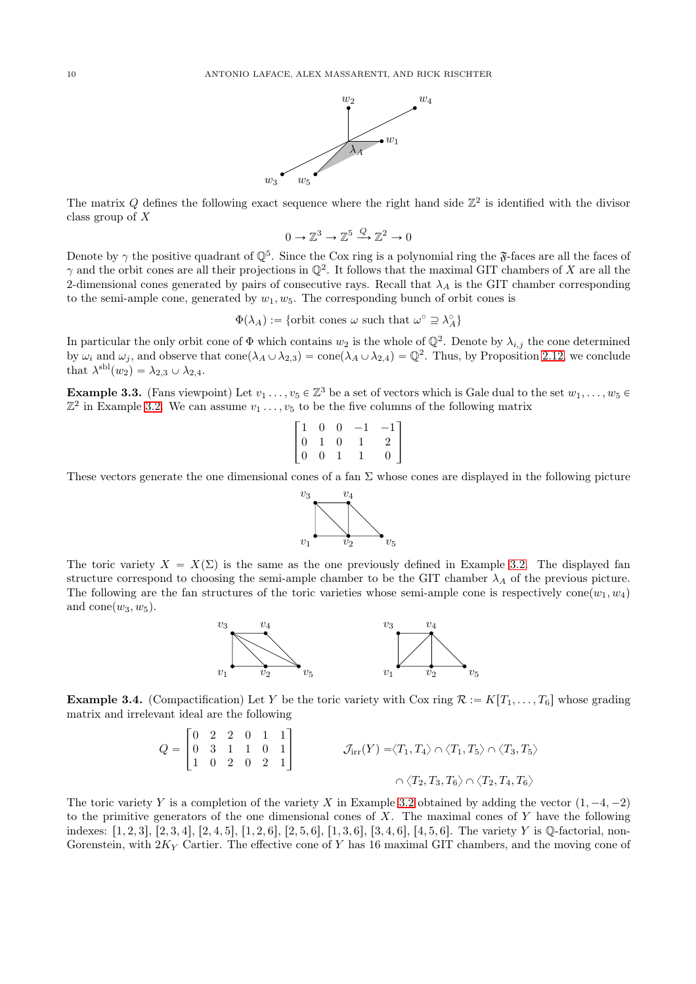

The matrix Q defines the following exact sequence where the right hand side  $\mathbb{Z}^2$  is identified with the divisor class group of X

$$
0\to\mathbb{Z}^3\to\mathbb{Z}^5\stackrel{Q}{\longrightarrow}\mathbb{Z}^2\to 0
$$

Denote by  $\gamma$  the positive quadrant of  $\mathbb{Q}^5$ . Since the Cox ring is a polynomial ring the  $\mathfrak{F}$ -faces are all the faces of  $\gamma$  and the orbit cones are all their projections in  $\mathbb{Q}^2$ . It follows that the maximal GIT chambers of X are all the 2-dimensional cones generated by pairs of consecutive rays. Recall that  $\lambda_A$  is the GIT chamber corresponding to the semi-ample cone, generated by  $w_1, w_5$ . The corresponding bunch of orbit cones is

 $\Phi(\lambda_A) := \{ \text{orbit cones } \omega \text{ such that } \omega^\circ \supseteq \lambda_A^\circ \}$ 

In particular the only orbit cone of  $\Phi$  which contains  $w_2$  is the whole of  $\mathbb{Q}^2$ . Denote by  $\lambda_{i,j}$  the cone determined by  $\omega_i$  and  $\omega_j$ , and observe that  $cone(\lambda_A \cup \lambda_{2,3}) = cone(\lambda_A \cup \lambda_{2,4}) = \mathbb{Q}^2$ . Thus, by Proposition [2.12,](#page-6-1) we conclude that  $\lambda^{\text{sbl}}(w_2) = \lambda_{2,3} \cup \lambda_{2,4}.$ 

**Example 3.3.** (Fans viewpoint) Let  $v_1, \ldots, v_5 \in \mathbb{Z}^3$  be a set of vectors which is Gale dual to the set  $w_1, \ldots, w_5 \in \mathbb{Z}^3$  $\mathbb{Z}^2$  in Example [3.2.](#page-8-0) We can assume  $v_1 \ldots, v_5$  to be the five columns of the following matrix

$$
\begin{bmatrix} 1 & 0 & 0 & -1 & -1 \\ 0 & 1 & 0 & 1 & 2 \\ 0 & 0 & 1 & 1 & 0 \end{bmatrix}
$$

These vectors generate the one dimensional cones of a fan  $\Sigma$  whose cones are displayed in the following picture



The toric variety  $X = X(\Sigma)$  is the same as the one previously defined in Example [3.2.](#page-8-0) The displayed fan structure correspond to choosing the semi-ample chamber to be the GIT chamber  $\lambda_A$  of the previous picture. The following are the fan structures of the toric varieties whose semi-ample cone is respectively cone $(w_1, w_4)$ and  $cone(w_3, w_5)$ .



**Example 3.4.** (Compactification) Let Y be the toric variety with Cox ring  $\mathcal{R} := K[T_1, \ldots, T_6]$  whose grading matrix and irrelevant ideal are the following

$$
Q = \begin{bmatrix} 0 & 2 & 2 & 0 & 1 & 1 \\ 0 & 3 & 1 & 1 & 0 & 1 \\ 1 & 0 & 2 & 0 & 2 & 1 \end{bmatrix} \qquad \qquad \mathcal{J}_{irr}(Y) = \langle T_1, T_4 \rangle \cap \langle T_1, T_5 \rangle \cap \langle T_3, T_5 \rangle
$$

$$
\cap \langle T_2, T_3, T_6 \rangle \cap \langle T_2, T_4, T_6 \rangle
$$

The toric variety Y is a completion of the variety X in Example [3.2](#page-8-0) obtained by adding the vector  $(1, -4, -2)$ to the primitive generators of the one dimensional cones of  $X$ . The maximal cones of  $Y$  have the following indexes:  $[1, 2, 3], [2, 3, 4], [2, 4, 5], [1, 2, 6], [2, 5, 6], [1, 3, 6], [3, 4, 6], [4, 5, 6].$  The variety Y is Q-factorial, non-Gorenstein, with  $2K_Y$  Cartier. The effective cone of Y has 16 maximal GIT chambers, and the moving cone of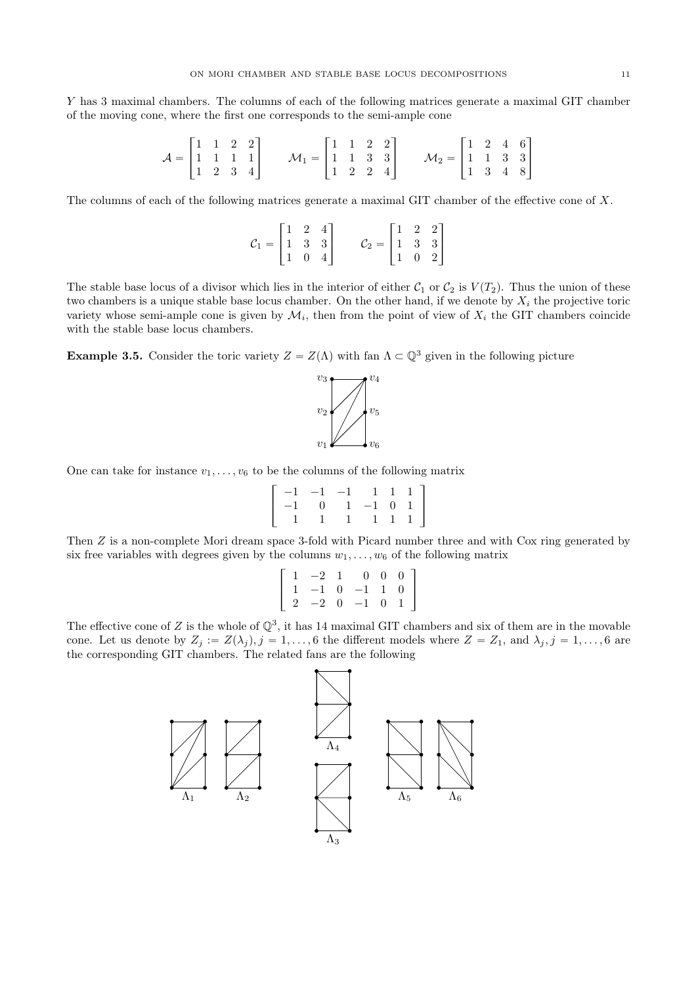Y has 3 maximal chambers. The columns of each of the following matrices generate a maximal GIT chamber of the moving cone, where the first one corresponds to the semi-ample cone

$$
\mathcal{A} = \begin{bmatrix} 1 & 1 & 2 & 2 \\ 1 & 1 & 1 & 1 \\ 1 & 2 & 3 & 4 \end{bmatrix} \qquad \mathcal{M}_1 = \begin{bmatrix} 1 & 1 & 2 & 2 \\ 1 & 1 & 3 & 3 \\ 1 & 2 & 2 & 4 \end{bmatrix} \qquad \mathcal{M}_2 = \begin{bmatrix} 1 & 2 & 4 & 6 \\ 1 & 1 & 3 & 3 \\ 1 & 3 & 4 & 8 \end{bmatrix}
$$

The columns of each of the following matrices generate a maximal GIT chamber of the effective cone of X.

$$
\mathcal{C}_1 = \begin{bmatrix} 1 & 2 & 4 \\ 1 & 3 & 3 \\ 1 & 0 & 4 \end{bmatrix} \qquad \mathcal{C}_2 = \begin{bmatrix} 1 & 2 & 2 \\ 1 & 3 & 3 \\ 1 & 0 & 2 \end{bmatrix}
$$

The stable base locus of a divisor which lies in the interior of either  $C_1$  or  $C_2$  is  $V(T_2)$ . Thus the union of these two chambers is a unique stable base locus chamber. On the other hand, if we denote by  $X_i$  the projective toric variety whose semi-ample cone is given by  $\mathcal{M}_i$ , then from the point of view of  $X_i$  the GIT chambers coincide with the stable base locus chambers.

**Example 3.5.** Consider the toric variety  $Z = Z(\Lambda)$  with fan  $\Lambda \subset \mathbb{Q}^3$  given in the following picture



One can take for instance  $v_1, \ldots, v_6$  to be the columns of the following matrix

$$
\left[\begin{array}{rrrrrr} -1 & -1 & -1 & 1 & 1 & 1 \\ -1 & 0 & 1 & -1 & 0 & 1 \\ 1 & 1 & 1 & 1 & 1 & 1 \end{array}\right]
$$

Then Z is a non-complete Mori dream space 3-fold with Picard number three and with Cox ring generated by six free variables with degrees given by the columns  $w_1, \ldots, w_6$  of the following matrix

$$
\left[\begin{array}{rrrrrr}1&-2&1&0&0&0\\1&-1&0&-1&1&0\\2&-2&0&-1&0&1\end{array}\right]
$$

The effective cone of Z is the whole of  $\mathbb{Q}^3$ , it has 14 maximal GIT chambers and six of them are in the movable cone. Let us denote by  $Z_j := Z(\lambda_j)$ ,  $j = 1, ..., 6$  the different models where  $Z = Z_1$ , and  $\lambda_j$ ,  $j = 1, ..., 6$  are the corresponding GIT chambers. The related fans are the following

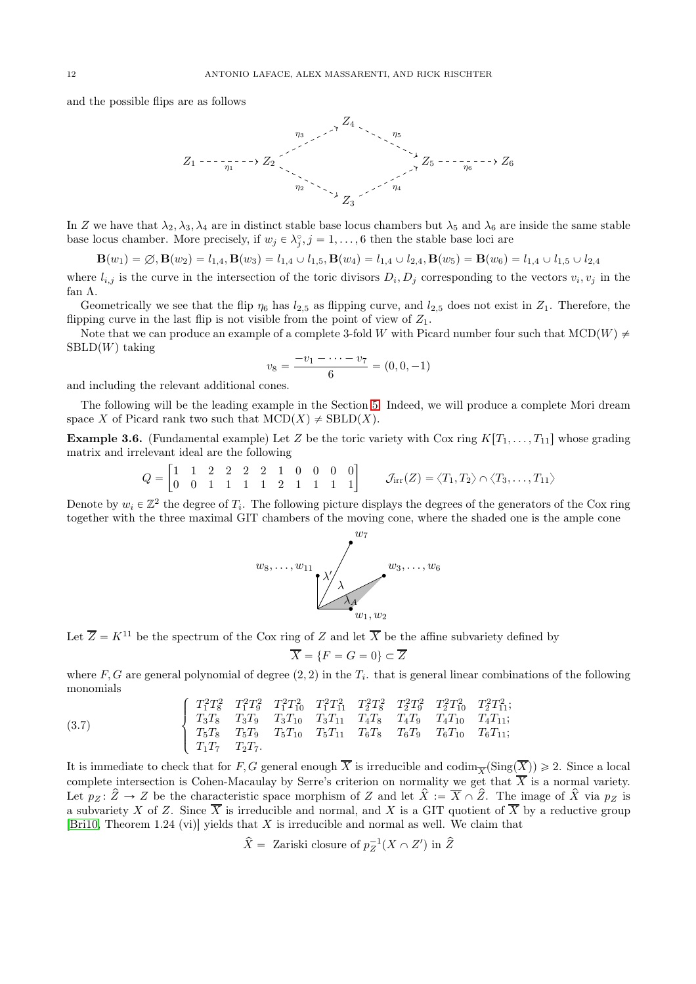and the possible flips are as follows



In Z we have that  $\lambda_2, \lambda_3, \lambda_4$  are in distinct stable base locus chambers but  $\lambda_5$  and  $\lambda_6$  are inside the same stable base locus chamber. More precisely, if  $w_j \in \lambda_j^{\circ}, j = 1, \ldots, 6$  then the stable base loci are

 $\mathbf{B}(w_1) = \emptyset, \mathbf{B}(w_2) = l_{1,4}, \mathbf{B}(w_3) = l_{1,4} \cup l_{1,5}, \mathbf{B}(w_4) = l_{1,4} \cup l_{2,4}, \mathbf{B}(w_5) = \mathbf{B}(w_6) = l_{1,4} \cup l_{1,5} \cup l_{2,4}$ 

where  $l_{i,j}$  is the curve in the intersection of the toric divisors  $D_i, D_j$  corresponding to the vectors  $v_i, v_j$  in the fan Λ.

Geometrically we see that the flip  $\eta_6$  has  $l_{2,5}$  as flipping curve, and  $l_{2,5}$  does not exist in  $Z_1$ . Therefore, the flipping curve in the last flip is not visible from the point of view of  $Z_1$ .

Note that we can produce an example of a complete 3-fold W with Picard number four such that  $MCD(W) \neq$  $\text{SBLD}(W)$  taking

$$
v_8 = \frac{-v_1 - \dots - v_7}{6} = (0, 0, -1)
$$

and including the relevant additional cones.

The following will be the leading example in the Section [5.](#page-15-0) Indeed, we will produce a complete Mori dream space X of Picard rank two such that  $MCD(X) \neq \text{SBLD}(X)$ .

<span id="page-11-0"></span>**Example 3.6.** (Fundamental example) Let Z be the toric variety with Cox ring  $K[T_1, \ldots, T_{11}]$  whose grading matrix and irrelevant ideal are the following

$$
Q = \begin{bmatrix} 1 & 1 & 2 & 2 & 2 & 2 & 1 & 0 & 0 & 0 & 0 \\ 0 & 0 & 1 & 1 & 1 & 1 & 2 & 1 & 1 & 1 & 1 & 1 \end{bmatrix} \qquad \mathcal{J}_{irr}(Z) = \langle T_1, T_2 \rangle \cap \langle T_3, \ldots, T_{11} \rangle
$$

Denote by  $w_i \in \mathbb{Z}^2$  the degree of  $T_i$ . The following picture displays the degrees of the generators of the Cox ring together with the three maximal GIT chambers of the moving cone, where the shaded one is the ample cone



Let  $\overline{Z} = K^{11}$  be the spectrum of the Cox ring of Z and let  $\overline{X}$  be the affine subvariety defined by

$$
\overline{X} = \{F = G = 0\} \subset \overline{Z}
$$

where  $F, G$  are general polynomial of degree  $(2, 2)$  in the  $T_i$ , that is general linear combinations of the following monomials

<span id="page-11-1"></span>(3.7) 
$$
\begin{cases}\nT_1^2 T_8^2 & T_1^2 T_9^2 & T_1^2 T_{10}^2 & T_1^2 T_{11}^2 & T_2^2 T_8^2 & T_2^2 T_9^2 & T_2^2 T_{10}^2 & T_2^2 T_{11}^2; \\
T_3 T_8 & T_3 T_9 & T_3 T_{10} & T_3 T_{11} & T_4 T_8 & T_4 T_9 & T_4 T_{10} & T_4 T_{11}; \\
T_5 T_8 & T_5 T_9 & T_5 T_{10} & T_5 T_{11} & T_6 T_8 & T_6 T_9 & T_6 T_{10} & T_6 T_{11}; \\
T_1 T_7 & T_2 T_7.\n\end{cases}
$$

It is immediate to check that for F, G general enough  $\overline{X}$  is irreducible and codim $\overline{\mathcal{F}}(\text{Sing}(\overline{X})) \geq 2$ . Since a local complete intersection is Cohen-Macaulay by Serre's criterion on normality we get that  $\overline{X}$  is a normal variety. Let  $p_Z : \hat{Z} \to Z$  be the characteristic space morphism of Z and let  $\hat{X} := \overline{X} \cap \hat{Z}$ . The image of  $\hat{X}$  via  $p_Z$  is a subvariety X of Z. Since  $\overline{X}$  is irreducible and normal, and X is a GIT quotient of  $\overline{X}$  by a reductive group [\[Bri10,](#page-24-17) Theorem 1.24 (vi)] yields that  $X$  is irreducible and normal as well. We claim that

$$
\widehat{X} = \text{ Zariski closure of } p_Z^{-1}(X \cap Z') \text{ in } \widehat{Z}
$$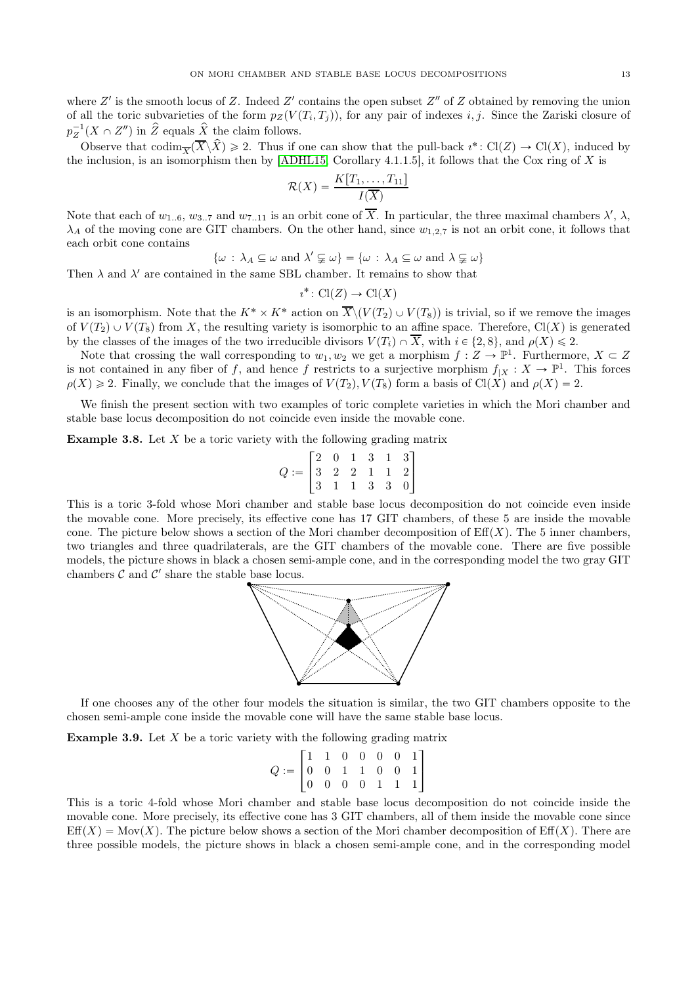where  $Z'$  is the smooth locus of Z. Indeed  $Z'$  contains the open subset  $Z''$  of Z obtained by removing the union of all the toric subvarieties of the form  $p_Z(V(T_i, T_j))$ , for any pair of indexes i, j. Since the Zariski closure of  $p_Z^{-1}(X \cap Z'')$  in  $\hat{Z}$  equals  $\hat{X}$  the claim follows.

Observe that  $\operatorname{codim}_{\overline{X}}(\overline{X}\backslash \hat{X})\geq 2$ . Thus if one can show that the pull-back  $i^*: \operatorname{Cl}(Z)\to \operatorname{Cl}(X)$ , induced by the inclusion, is an isomorphism then by [\[ADHL15,](#page-24-1) Corollary 4.1.1.5], it follows that the Cox ring of X is

$$
\mathcal{R}(X) = \frac{K[T_1, \ldots, T_{11}]}{I(\overline{X})}
$$

Note that each of  $w_{1..6}$ ,  $w_{3..7}$  and  $w_{7..11}$  is an orbit cone of  $\overline{X}$ . In particular, the three maximal chambers  $\lambda'$ ,  $\lambda$ ,  $\lambda_A$  of the moving cone are GIT chambers. On the other hand, since  $w_{1,2,7}$  is not an orbit cone, it follows that each orbit cone contains

 $\{\omega : \lambda_A \subseteq \omega \text{ and } \lambda' \subsetneq \omega\} = \{\omega : \lambda_A \subseteq \omega \text{ and } \lambda \subsetneq \omega\}$ 

Then  $\lambda$  and  $\lambda'$  are contained in the same SBL chamber. It remains to show that

$$
\imath^* \colon \operatorname{Cl}(Z) \to \operatorname{Cl}(X)
$$

is an isomorphism. Note that the  $K^* \times K^*$  action on  $\overline{X}\setminus (V(T_2) \cup V(T_8))$  is trivial, so if we remove the images of  $V(T_2) \cup V(T_8)$  from X, the resulting variety is isomorphic to an affine space. Therefore, Cl(X) is generated by the classes of the images of the two irreducible divisors  $V(T_i) \cap \overline{X}$ , with  $i \in \{2, 8\}$ , and  $\rho(X) \leq 2$ .

Note that crossing the wall corresponding to  $w_1, w_2$  we get a morphism  $f: Z \to \mathbb{P}^1$ . Furthermore,  $X \subset Z$ is not contained in any fiber of f, and hence f restricts to a surjective morphism  $f_{|X}: X \to \mathbb{P}^1$ . This forces  $\rho(X) \geq 2$ . Finally, we conclude that the images of  $V(T_2), V(T_8)$  form a basis of Cl(X) and  $\rho(X) = 2$ .

We finish the present section with two examples of toric complete varieties in which the Mori chamber and stable base locus decomposition do not coincide even inside the movable cone.

<span id="page-12-0"></span>**Example 3.8.** Let  $X$  be a toric variety with the following grading matrix

$$
Q:=\begin{bmatrix} 2&0&1&3&1&3\\ 3&2&2&1&1&2\\ 3&1&1&3&3&0 \end{bmatrix}
$$

This is a toric 3-fold whose Mori chamber and stable base locus decomposition do not coincide even inside the movable cone. More precisely, its effective cone has 17 GIT chambers, of these 5 are inside the movable cone. The picture below shows a section of the Mori chamber decomposition of  $\text{Eff}(X)$ . The 5 inner chambers, two triangles and three quadrilaterals, are the GIT chambers of the movable cone. There are five possible models, the picture shows in black a chosen semi-ample cone, and in the corresponding model the two gray GIT chambers  $C$  and  $C'$  share the stable base locus.



If one chooses any of the other four models the situation is similar, the two GIT chambers opposite to the chosen semi-ample cone inside the movable cone will have the same stable base locus.

<span id="page-12-1"></span>**Example 3.9.** Let  $X$  be a toric variety with the following grading matrix

$$
Q:=\begin{bmatrix}1&1&0&0&0&0&1\\0&0&1&1&0&0&1\\0&0&0&0&1&1&1\end{bmatrix}
$$

This is a toric 4-fold whose Mori chamber and stable base locus decomposition do not coincide inside the movable cone. More precisely, its effective cone has 3 GIT chambers, all of them inside the movable cone since  $Eff(X) = \text{Mov}(X)$ . The picture below shows a section of the Mori chamber decomposition of Eff(X). There are three possible models, the picture shows in black a chosen semi-ample cone, and in the corresponding model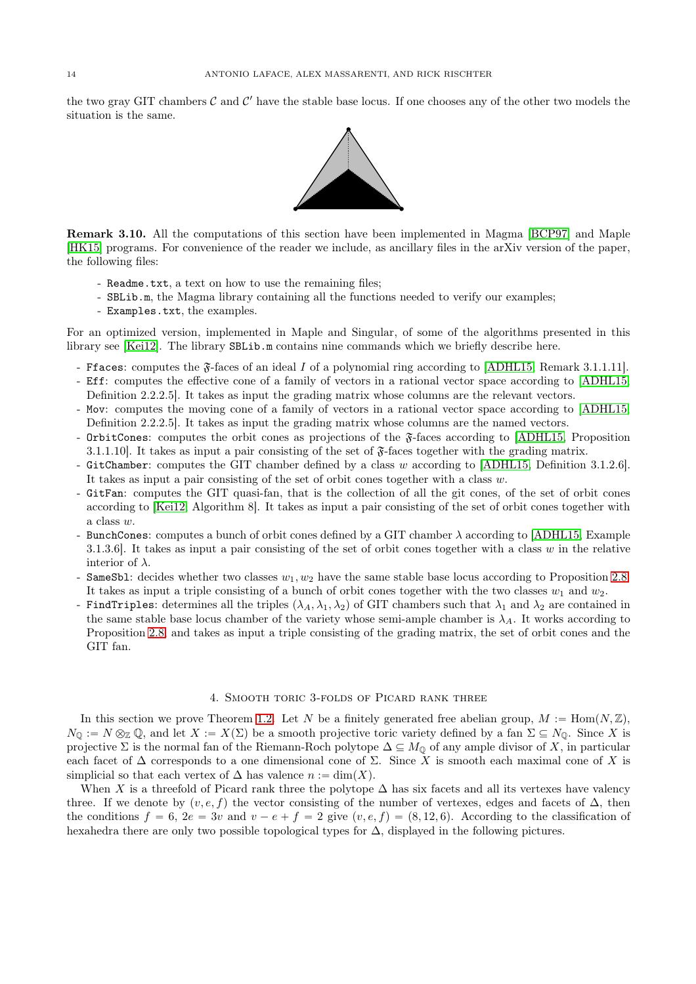the two gray GIT chambers  $C$  and  $C'$  have the stable base locus. If one chooses any of the other two models the situation is the same.



Remark 3.10. All the computations of this section have been implemented in Magma [\[BCP97\]](#page-24-18) and Maple [\[HK15\]](#page-25-13) programs. For convenience of the reader we include, as ancillary files in the arXiv version of the paper, the following files:

- Readme.txt, a text on how to use the remaining files;
- SBLib.m, the Magma library containing all the functions needed to verify our examples;
- Examples.txt, the examples.

For an optimized version, implemented in Maple and Singular, of some of the algorithms presented in this library see [\[Kei12\]](#page-25-14). The library SBLib.m contains nine commands which we briefly describe here.

- Ffaces: computes the  $\mathfrak{F}$ -faces of an ideal I of a polynomial ring according to [\[ADHL15,](#page-24-1) Remark 3.1.1.11].
- Eff: computes the effective cone of a family of vectors in a rational vector space according to [\[ADHL15,](#page-24-1) Definition 2.2.2.5]. It takes as input the grading matrix whose columns are the relevant vectors.
- Mov: computes the moving cone of a family of vectors in a rational vector space according to [\[ADHL15,](#page-24-1) Definition 2.2.2.5]. It takes as input the grading matrix whose columns are the named vectors.
- OrbitCones: computes the orbit cones as projections of the  $\tilde{\mathfrak{F}}$ -faces according to [\[ADHL15,](#page-24-1) Proposition 3.1.1.10]. It takes as input a pair consisting of the set of  $\mathfrak{F}$ -faces together with the grading matrix.
- GitChamber: computes the GIT chamber defined by a class w according to [\[ADHL15,](#page-24-1) Definition 3.1.2.6]. It takes as input a pair consisting of the set of orbit cones together with a class  $w$ .
- GitFan: computes the GIT quasi-fan, that is the collection of all the git cones, of the set of orbit cones according to [\[Kei12,](#page-25-14) Algorithm 8]. It takes as input a pair consisting of the set of orbit cones together with a class w.
- BunchCones: computes a bunch of orbit cones defined by a GIT chamber  $\lambda$  according to [\[ADHL15,](#page-24-1) Example 3.1.3.6. It takes as input a pair consisting of the set of orbit cones together with a class w in the relative interior of  $\lambda$ .
- SameSb1: decides whether two classes  $w_1, w_2$  have the same stable base locus according to Proposition [2.8.](#page-5-2) It takes as input a triple consisting of a bunch of orbit cones together with the two classes  $w_1$  and  $w_2$ .
- FindTriples: determines all the triples  $(\lambda_A, \lambda_1, \lambda_2)$  of GIT chambers such that  $\lambda_1$  and  $\lambda_2$  are contained in the same stable base locus chamber of the variety whose semi-ample chamber is  $\lambda_A$ . It works according to Proposition [2.8,](#page-5-2) and takes as input a triple consisting of the grading matrix, the set of orbit cones and the GIT fan.

#### 4. Smooth toric 3-folds of Picard rank three

<span id="page-13-0"></span>In this section we prove Theorem [1.2.](#page-1-1) Let N be a finitely generated free abelian group,  $M := \text{Hom}(N, \mathbb{Z})$ ,  $N_{\mathbb{Q}} := N \otimes_{\mathbb{Z}} \mathbb{Q}$ , and let  $X := X(\Sigma)$  be a smooth projective toric variety defined by a fan  $\Sigma \subseteq N_{\mathbb{Q}}$ . Since X is projective  $\Sigma$  is the normal fan of the Riemann-Roch polytope  $\Delta \subseteq M_0$  of any ample divisor of X, in particular each facet of  $\Delta$  corresponds to a one dimensional cone of  $\Sigma$ . Since X is smooth each maximal cone of X is simplicial so that each vertex of  $\Delta$  has valence  $n := \dim(X)$ .

When X is a threefold of Picard rank three the polytope  $\Delta$  has six facets and all its vertexes have valency three. If we denote by  $(v, e, f)$  the vector consisting of the number of vertexes, edges and facets of  $\Delta$ , then the conditions  $f = 6$ ,  $2e = 3v$  and  $v - e + f = 2$  give  $(v, e, f) = (8, 12, 6)$ . According to the classification of hexahedra there are only two possible topological types for ∆, displayed in the following pictures.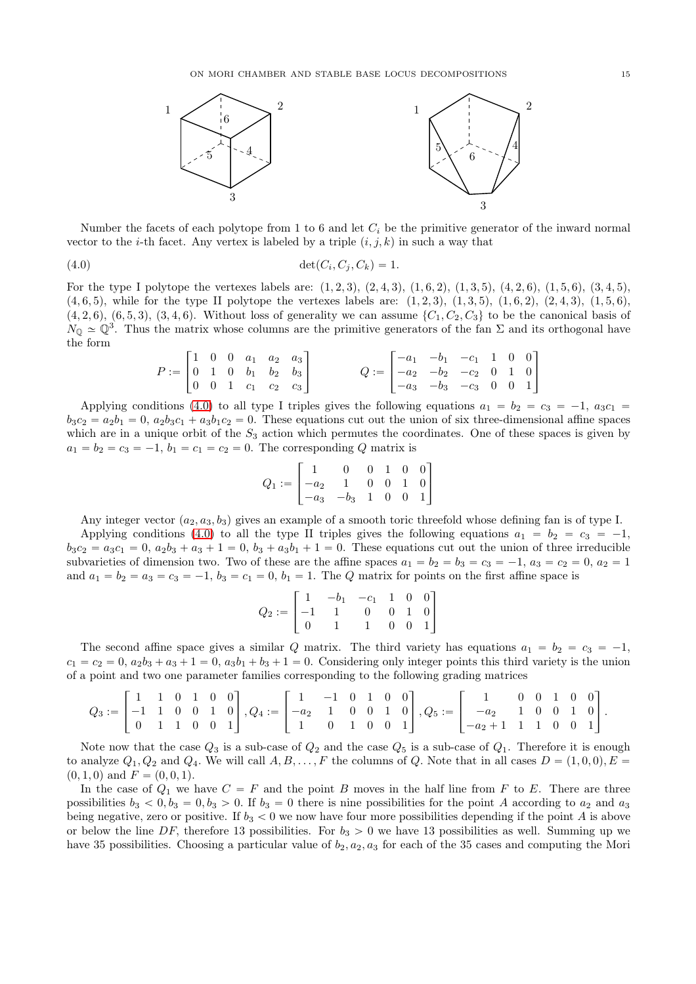

Number the facets of each polytope from 1 to 6 and let  $C_i$  be the primitive generator of the inward normal vector to the *i*-th facet. Any vertex is labeled by a triple  $(i, j, k)$  in such a way that

$$
(4.0) \qquad \qquad \det(C_i, C_j, C_k) = 1.
$$

For the type I polytope the vertexes labels are:  $(1, 2, 3), (2, 4, 3), (1, 6, 2), (1, 3, 5), (4, 2, 6), (1, 5, 6), (3, 4, 5),$  $(4, 6, 5)$ , while for the type II polytope the vertexes labels are:  $(1, 2, 3)$ ,  $(1, 3, 5)$ ,  $(1, 6, 2)$ ,  $(2, 4, 3)$ ,  $(1, 5, 6)$ ,  $(4, 2, 6), (6, 5, 3), (3, 4, 6)$ . Without loss of generality we can assume  $\{C_1, C_2, C_3\}$  to be the canonical basis of  $N_{\mathbb{Q}} \simeq \mathbb{Q}^3$ . Thus the matrix whose columns are the primitive generators of the fan  $\Sigma$  and its orthogonal have the form

<span id="page-14-0"></span>
$$
P := \begin{bmatrix} 1 & 0 & 0 & a_1 & a_2 & a_3 \\ 0 & 1 & 0 & b_1 & b_2 & b_3 \\ 0 & 0 & 1 & c_1 & c_2 & c_3 \end{bmatrix} \hspace{1cm} Q := \begin{bmatrix} -a_1 & -b_1 & -c_1 & 1 & 0 & 0 \\ -a_2 & -b_2 & -c_2 & 0 & 1 & 0 \\ -a_3 & -b_3 & -c_3 & 0 & 0 & 1 \end{bmatrix}
$$

Applying conditions [\(4.0\)](#page-14-0) to all type I triples gives the following equations  $a_1 = b_2 = c_3 = -1$ ,  $a_3c_1 =$  $b_3c_2 = a_2b_1 = 0$ ,  $a_2b_3c_1 + a_3b_1c_2 = 0$ . These equations cut out the union of six three-dimensional affine spaces which are in a unique orbit of the  $S_3$  action which permutes the coordinates. One of these spaces is given by  $a_1 = b_2 = c_3 = -1, b_1 = c_1 = c_2 = 0$ . The corresponding Q matrix is

$$
Q_1:=\begin{bmatrix} 1 & 0 & 0 & 1 & 0 & 0 \\ -a_2 & 1 & 0 & 0 & 1 & 0 \\ -a_3 & -b_3 & 1 & 0 & 0 & 1 \end{bmatrix}
$$

Any integer vector  $(a_2, a_3, b_3)$  gives an example of a smooth toric threefold whose defining fan is of type I.

Applying conditions [\(4.0\)](#page-14-0) to all the type II triples gives the following equations  $a_1 = b_2 = c_3 = -1$ ,  $b_3c_2 = a_3c_1 = 0, a_2b_3 + a_3 + 1 = 0, b_3 + a_3b_1 + 1 = 0$ . These equations cut out the union of three irreducible subvarieties of dimension two. Two of these are the affine spaces  $a_1 = b_2 = b_3 = c_3 = -1$ ,  $a_3 = c_2 = 0$ ,  $a_2 = 1$ and  $a_1 = b_2 = a_3 = c_3 = -1$ ,  $b_3 = c_1 = 0$ ,  $b_1 = 1$ . The Q matrix for points on the first affine space is

$$
Q_2 := \begin{bmatrix} 1 & -b_1 & -c_1 & 1 & 0 & 0 \\ -1 & 1 & 0 & 0 & 1 & 0 \\ 0 & 1 & 1 & 0 & 0 & 1 \end{bmatrix}
$$

The second affine space gives a similar Q matrix. The third variety has equations  $a_1 = b_2 = c_3 = -1$ ,  $c_1 = c_2 = 0$ ,  $a_2b_3 + a_3 + 1 = 0$ ,  $a_3b_1 + b_3 + 1 = 0$ . Considering only integer points this third variety is the union of a point and two one parameter families corresponding to the following grading matrices

$$
Q_3:=\begin{bmatrix}1&1&0&1&0&0\\-1&1&0&0&1&0\\0&1&1&0&0&1\end{bmatrix}, Q_4:=\begin{bmatrix}1&-1&0&1&0&0\\-a_2&1&0&0&1&0\\1&0&1&0&0&1\end{bmatrix}, Q_5:=\begin{bmatrix}1&0&0&1&0&0\\-a_2&1&0&0&1&0\\-a_2+1&1&1&0&0&1\end{bmatrix}.
$$

Note now that the case  $Q_3$  is a sub-case of  $Q_2$  and the case  $Q_5$  is a sub-case of  $Q_1$ . Therefore it is enough to analyze  $Q_1, Q_2$  and  $Q_4$ . We will call  $A, B, \ldots, F$  the columns of Q. Note that in all cases  $D = (1, 0, 0), E =$  $(0, 1, 0)$  and  $F = (0, 0, 1)$ .

In the case of  $Q_1$  we have  $C = F$  and the point B moves in the half line from F to E. There are three possibilities  $b_3 < 0$ ,  $b_3 = 0$ ,  $b_3 > 0$ . If  $b_3 = 0$  there is nine possibilities for the point A according to  $a_2$  and  $a_3$ being negative, zero or positive. If  $b_3 < 0$  we now have four more possibilities depending if the point A is above or below the line DF, therefore 13 possibilities. For  $b_3 > 0$  we have 13 possibilities as well. Summing up we have 35 possibilities. Choosing a particular value of  $b_2, a_2, a_3$  for each of the 35 cases and computing the Mori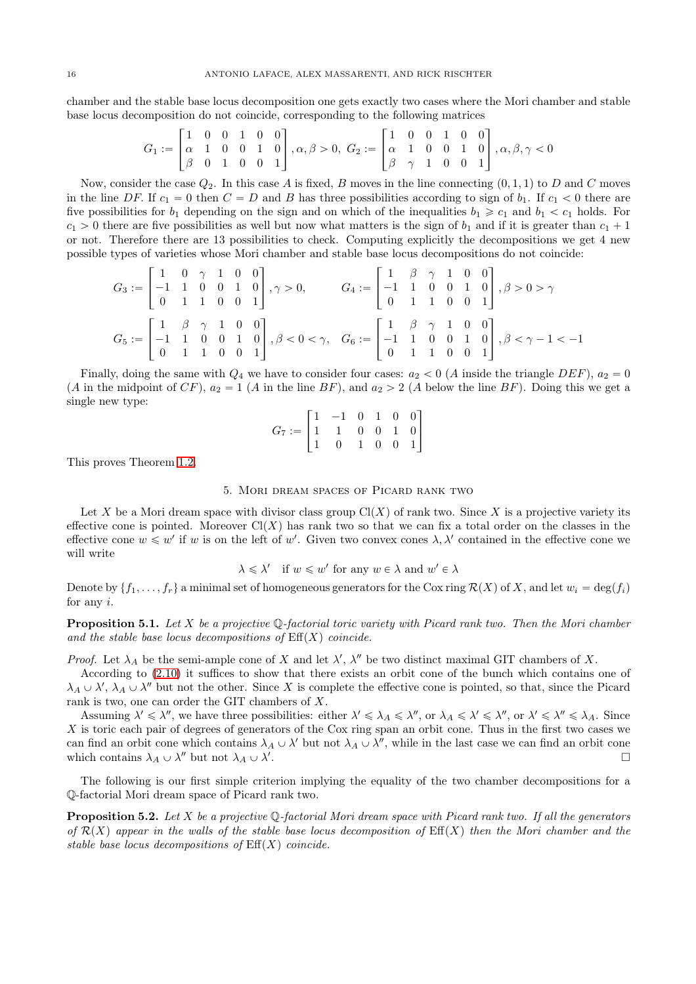chamber and the stable base locus decomposition one gets exactly two cases where the Mori chamber and stable base locus decomposition do not coincide, corresponding to the following matrices

$$
G_1 := \begin{bmatrix} 1 & 0 & 0 & 1 & 0 & 0 \\ \alpha & 1 & 0 & 0 & 1 & 0 \\ \beta & 0 & 1 & 0 & 0 & 1 \end{bmatrix}, \alpha, \beta > 0, \ G_2 := \begin{bmatrix} 1 & 0 & 0 & 1 & 0 & 0 \\ \alpha & 1 & 0 & 0 & 1 & 0 \\ \beta & \gamma & 1 & 0 & 0 & 1 \end{bmatrix}, \alpha, \beta, \gamma < 0
$$

Now, consider the case  $Q_2$ . In this case A is fixed, B moves in the line connecting  $(0, 1, 1)$  to D and C moves in the line DF. If  $c_1 = 0$  then  $C = D$  and B has three possibilities according to sign of  $b_1$ . If  $c_1 < 0$  there are five possibilities for  $b_1$  depending on the sign and on which of the inequalities  $b_1 \geq c_1$  and  $b_1 < c_1$  holds. For  $c_1 > 0$  there are five possibilities as well but now what matters is the sign of  $b_1$  and if it is greater than  $c_1 + 1$ or not. Therefore there are 13 possibilities to check. Computing explicitly the decompositions we get 4 new possible types of varieties whose Mori chamber and stable base locus decompositions do not coincide:

$$
G_3 := \begin{bmatrix} 1 & 0 & \gamma & 1 & 0 & 0 \\ -1 & 1 & 0 & 0 & 1 & 0 \\ 0 & 1 & 1 & 0 & 0 & 1 \end{bmatrix}, \gamma > 0, \qquad G_4 := \begin{bmatrix} 1 & \beta & \gamma & 1 & 0 & 0 \\ -1 & 1 & 0 & 0 & 1 & 0 \\ 0 & 1 & 1 & 0 & 0 & 1 \end{bmatrix}, \beta > 0 > \gamma
$$

$$
G_5 := \begin{bmatrix} 1 & \beta & \gamma & 1 & 0 & 0 \\ -1 & 1 & 0 & 0 & 1 & 0 \\ 0 & 1 & 1 & 0 & 0 & 1 \end{bmatrix}, \beta < 0 < \gamma, \quad G_6 := \begin{bmatrix} 1 & \beta & \gamma & 1 & 0 & 0 \\ -1 & 1 & 0 & 0 & 1 & 0 \\ 0 & 1 & 1 & 0 & 0 & 1 \end{bmatrix}, \beta < \gamma - 1 < -1
$$

Finally, doing the same with  $Q_4$  we have to consider four cases:  $a_2 < 0$  (A inside the triangle DEF),  $a_2 = 0$ (A in the midpoint of CF),  $a_2 = 1$  (A in the line BF), and  $a_2 > 2$  (A below the line BF). Doing this we get a single new type:

$$
G_7 := \begin{bmatrix} 1 & -1 & 0 & 1 & 0 & 0 \\ 1 & 1 & 0 & 0 & 1 & 0 \\ 1 & 0 & 1 & 0 & 0 & 1 \end{bmatrix}
$$

<span id="page-15-0"></span>This proves Theorem [1.2.](#page-1-1)

### 5. Mori dream spaces of Picard rank two

Let X be a Mori dream space with divisor class group  $Cl(X)$  of rank two. Since X is a projective variety its effective cone is pointed. Moreover  $Cl(X)$  has rank two so that we can fix a total order on the classes in the effective cone  $w \leq w'$  if w is on the left of w'. Given two convex cones  $\lambda, \lambda'$  contained in the effective cone we will write

$$
\lambda \leqslant \lambda' \quad \text{if } w \leqslant w' \text{ for any } w \in \lambda \text{ and } w' \in \lambda
$$

Denote by  $\{f_1, \ldots, f_r\}$  a minimal set of homogeneous generators for the Cox ring  $\mathcal{R}(X)$  of X, and let  $w_i = \deg(f_i)$ for any  $i$ .

<span id="page-15-2"></span>**Proposition 5.1.** Let X be a projective  $\mathbb{Q}$ -factorial toric variety with Picard rank two. Then the Mori chamber and the stable base locus decompositions of  $\text{Eff}(X)$  coincide.

Proof. Let  $\lambda_A$  be the semi-ample cone of X and let  $\lambda'$ ,  $\lambda''$  be two distinct maximal GIT chambers of X.

According to [\(2.10\)](#page-5-0) it suffices to show that there exists an orbit cone of the bunch which contains one of  $\lambda_A \cup \lambda'$ ,  $\lambda_A \cup \lambda''$  but not the other. Since X is complete the effective cone is pointed, so that, since the Picard rank is two, one can order the GIT chambers of X.

Assuming  $\lambda' \leq \lambda''$ , we have three possibilities: either  $\lambda' \leq \lambda_A \leq \lambda''$ , or  $\lambda_A \leq \lambda'' \leq \lambda''$ , or  $\lambda' \leq \lambda'' \leq \lambda_A$ . Since X is toric each pair of degrees of generators of the Cox ring span an orbit cone. Thus in the first two cases we can find an orbit cone which contains  $\lambda_A \cup \lambda'$  but not  $\lambda_A \cup \lambda''$ , while in the last case we can find an orbit cone which contains  $\lambda_A \cup \lambda''$  but not  $\lambda_A \cup \lambda'$ . In the contract of the contract of the contract of the contract of the contract of the contract of the contract of the contract of the contract of the contract of the contract of the contract of the contract of the contr

The following is our first simple criterion implying the equality of the two chamber decompositions for a Q-factorial Mori dream space of Picard rank two.

<span id="page-15-1"></span>**Proposition 5.2.** Let X be a projective  $\mathbb{Q}$ -factorial Mori dream space with Picard rank two. If all the generators of  $\mathcal{R}(X)$  appear in the walls of the stable base locus decomposition of  $\mathrm{Eff}(X)$  then the Mori chamber and the stable base locus decompositions of  $\mathrm{Eff}(X)$  coincide.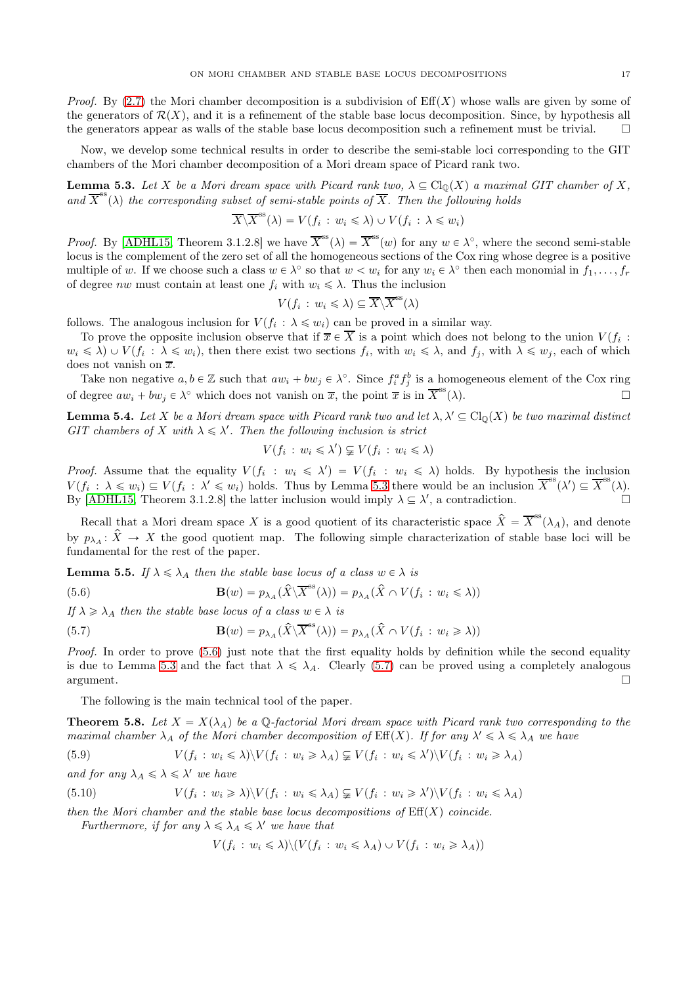*Proof.* By [\(2.7\)](#page-5-3) the Mori chamber decomposition is a subdivision of  $Eff(X)$  whose walls are given by some of the generators of  $\mathcal{R}(X)$ , and it is a refinement of the stable base locus decomposition. Since, by hypothesis all the generators appear as walls of the stable base locus decomposition such a refinement must be trivial.

Now, we develop some technical results in order to describe the semi-stable loci corresponding to the GIT chambers of the Mori chamber decomposition of a Mori dream space of Picard rank two.

<span id="page-16-2"></span>**Lemma 5.3.** Let X be a Mori dream space with Picard rank two,  $\lambda \subseteq Cl_0(X)$  a maximal GIT chamber of X, and  $\overline{X}^{\text{ss}}(\lambda)$  the corresponding subset of semi-stable points of  $\overline{X}$ . Then the following holds

$$
\overline{X}\backslash \overline{X}^{\text{ss}}(\lambda) = V(f_i : w_i \leq \lambda) \cup V(f_i : \lambda \leq w_i)
$$

*Proof.* By [\[ADHL15,](#page-24-1) Theorem 3.1.2.8] we have  $\overline{X}^{\rm ss}(\lambda) = \overline{X}^{\rm ss}(w)$  for any  $w \in \lambda^{\circ}$ , where the second semi-stable locus is the complement of the zero set of all the homogeneous sections of the Cox ring whose degree is a positive multiple of w. If we choose such a class  $w \in \lambda^{\circ}$  so that  $w < w_i$  for any  $w_i \in \lambda^{\circ}$  then each monomial in  $f_1, \ldots, f_r$ of degree *nw* must contain at least one  $f_i$  with  $w_i \leq \lambda$ . Thus the inclusion

$$
V(f_i : w_i \leq \lambda) \subseteq \overline{X} \setminus \overline{X}^{ss}(\lambda)
$$

follows. The analogous inclusion for  $V(f_i: \lambda \leq w_i)$  can be proved in a similar way.

To prove the opposite inclusion observe that if  $\overline{x} \in X$  is a point which does not belong to the union  $V(f_i)$ :  $w_i \leq \lambda$   $\cup$   $V(f_i : \lambda \leq w_i)$ , then there exist two sections  $f_i$ , with  $w_i \leq \lambda$ , and  $f_j$ , with  $\lambda \leq w_j$ , each of which does not vanish on  $\overline{x}$ .

Take non negative  $a, b \in \mathbb{Z}$  such that  $aw_i + bw_j \in \lambda^{\circ}$ . Since  $f_i^a f_j^b$  is a homogeneous element of the Cox ring of degree  $aw_i + bw_j \in \lambda^{\circ}$  which does not vanish on  $\overline{x}$ , the point  $\overline{x}$  is in  $\overline{X}$  $\mathbb{S}^{\text{ss}}(\lambda).$ 

<span id="page-16-5"></span>**Lemma 5.4.** Let X be a Mori dream space with Picard rank two and let  $\lambda, \lambda' \subseteq Cl_0(X)$  be two maximal distinct GIT chambers of X with  $\lambda \leq \lambda'$ . Then the following inclusion is strict

$$
V(f_i : w_i \leq \lambda') \subsetneq V(f_i : w_i \leq \lambda)
$$

*Proof.* Assume that the equality  $V(f_i : w_i \leq \lambda') = V(f_i : w_i \leq \lambda)$  holds. By hypothesis the inclusion  $V(f_i: \lambda \leq w_i) \subseteq V(f_i: \lambda' \leq w_i)$  holds. Thus by Lemma [5.3](#page-16-2) there would be an inclusion  $\overline{X}^{\text{ss}}(\lambda') \subseteq \overline{X}^{\text{ss}}(\lambda)$ . By [\[ADHL15,](#page-24-1) Theorem 3.1.2.8] the latter inclusion would imply  $\lambda \subseteq \lambda'$ , a contradiction.

Recall that a Mori dream space X is a good quotient of its characteristic space  $\hat{X} = \overline{X}^{\rm ss}(\lambda_A)$ , and denote by  $p_{\lambda_A}: \hat{X} \to X$  the good quotient map. The following simple characterization of stable base loci will be fundamental for the rest of the paper.

<span id="page-16-1"></span>**Lemma 5.5.** If  $\lambda \le \lambda_A$  then the stable base locus of a class  $w \in \lambda$  is

<span id="page-16-3"></span>(5.6) 
$$
\mathbf{B}(w) = p_{\lambda_A}(\hat{X}\backslash \overline{X}^{\text{ss}}(\lambda)) = p_{\lambda_A}(\hat{X} \cap V(f_i : w_i \leq \lambda))
$$

If  $\lambda \geq \lambda_A$  then the stable base locus of a class  $w \in \lambda$  is

<span id="page-16-4"></span>(5.7) 
$$
\mathbf{B}(w) = p_{\lambda_A}(\hat{X}\backslash \overline{X}^{\text{ss}}(\lambda)) = p_{\lambda_A}(\hat{X} \cap V(f_i : w_i \ge \lambda))
$$

Proof. In order to prove [\(5.6\)](#page-16-3) just note that the first equality holds by definition while the second equality is due to Lemma [5.3](#page-16-2) and the fact that  $\lambda \leq \lambda_A$ . Clearly [\(5.7\)](#page-16-4) can be proved using a completely analogous  $\Box$ argument.

The following is the main technical tool of the paper.

<span id="page-16-0"></span>**Theorem 5.8.** Let  $X = X(\lambda_A)$  be a Q-factorial Mori dream space with Picard rank two corresponding to the maximal chamber  $\lambda_A$  of the Mori chamber decomposition of  $\mathrm{Eff}(X)$ . If for any  $\lambda' \leq \lambda \leq \lambda_A$  we have

(5.9) 
$$
V(f_i: w_i \le \lambda) \setminus V(f_i: w_i \ge \lambda_A) \subsetneq V(f_i: w_i \le \lambda') \setminus V(f_i: w_i \ge \lambda_A)
$$

and for any 
$$
\lambda_A \leq \lambda \leq \lambda'
$$
 we have

(5.10) 
$$
V(f_i: w_i \ge \lambda) \setminus V(f_i: w_i \le \lambda_A) \subsetneq V(f_i: w_i \ge \lambda') \setminus V(f_i: w_i \le \lambda_A)
$$

then the Mori chamber and the stable base locus decompositions of  $\text{Eff}(X)$  coincide.

Furthermore, if for any  $\lambda \leq \lambda_A \leq \lambda'$  we have that

<span id="page-16-7"></span><span id="page-16-6"></span>
$$
V(f_i: w_i \le \lambda) \setminus (V(f_i: w_i \le \lambda_A) \cup V(f_i: w_i \ge \lambda_A))
$$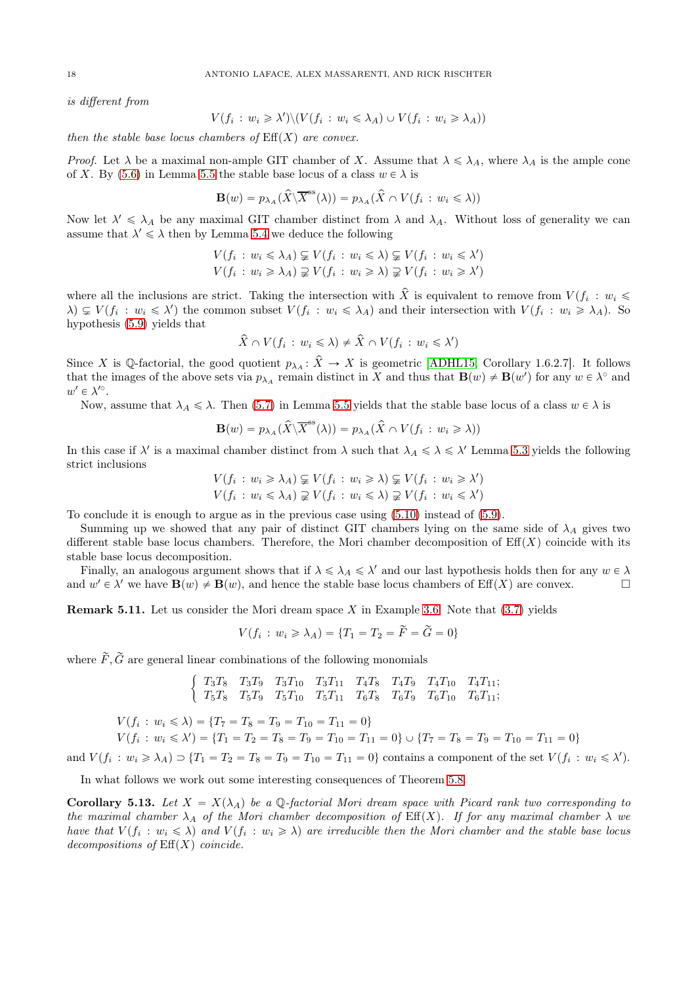is different from

$$
V(f_i : w_i \ge \lambda') \setminus (V(f_i : w_i \le \lambda_A) \cup V(f_i : w_i \ge \lambda_A))
$$

then the stable base locus chambers of  $\mathrm{Eff}(X)$  are convex.

*Proof.* Let  $\lambda$  be a maximal non-ample GIT chamber of X. Assume that  $\lambda \leq \lambda_A$ , where  $\lambda_A$  is the ample cone of X. By [\(5.6\)](#page-16-3) in Lemma [5.5](#page-16-1) the stable base locus of a class  $w \in \lambda$  is

$$
\mathbf{B}(w) = p_{\lambda_A}(\widehat{X} \setminus \overline{X}^{\text{ss}}(\lambda)) = p_{\lambda_A}(\widehat{X} \cap V(f_i : w_i \leq \lambda))
$$

Now let  $\lambda' \leq \lambda_A$  be any maximal GIT chamber distinct from  $\lambda$  and  $\lambda_A$ . Without loss of generality we can assume that  $\lambda' \leq \lambda$  then by Lemma [5.4](#page-16-5) we deduce the following

$$
V(f_i: w_i \le \lambda_A) \subsetneq V(f_i: w_i \le \lambda) \subsetneq V(f_i: w_i \le \lambda')
$$
  

$$
V(f_i: w_i \ge \lambda_A) \supsetneq V(f_i: w_i \ge \lambda) \supsetneq V(f_i: w_i \ge \lambda')
$$

where all the inclusions are strict. Taking the intersection with X is equivalent to remove from  $V(f_i : w_i \leq$  $\lambda \subseteq V(f_i : w_i \leq \lambda')$  the common subset  $V(f_i : w_i \leq \lambda_A)$  and their intersection with  $V(f_i : w_i \geq \lambda_A)$ . So hypothesis [\(5.9\)](#page-16-6) yields that

$$
\widehat{X} \cap V(f_i : w_i \leq \lambda) \neq \widehat{X} \cap V(f_i : w_i \leq \lambda')
$$

Since X is Q-factorial, the good quotient  $p_{\lambda_A}: \hat{X} \to X$  is geometric [\[ADHL15,](#page-24-1) Corollary 1.6.2.7]. It follows that the images of the above sets via  $p_{\lambda_A}$  remain distinct in X and thus that  $\mathbf{B}(w) \neq \mathbf{B}(w')$  for any  $w \in \lambda^{\circ}$  and  $w' \in \lambda'^\circ$ .

Now, assume that  $\lambda_A \leq \lambda$ . Then [\(5.7\)](#page-16-4) in Lemma [5.5](#page-16-1) yields that the stable base locus of a class  $w \in \lambda$  is

$$
\mathbf{B}(w) = p_{\lambda_A}(\widehat{X} \backslash \overline{X}^{\text{ss}}(\lambda)) = p_{\lambda_A}(\widehat{X} \cap V(f_i : w_i \geq \lambda))
$$

In this case if  $\lambda'$  is a maximal chamber distinct from  $\lambda$  such that  $\lambda_A \leq \lambda \leq \lambda'$  Lemma [5.3](#page-16-2) yields the following strict inclusions

$$
V(f_i: w_i \ge \lambda_A) \subsetneq V(f_i: w_i \ge \lambda) \subsetneq V(f_i: w_i \ge \lambda')
$$
  

$$
V(f_i: w_i \le \lambda_A) \supsetneq V(f_i: w_i \le \lambda) \supsetneq V(f_i: w_i \le \lambda')
$$

To conclude it is enough to argue as in the previous case using [\(5.10\)](#page-16-7) instead of [\(5.9\)](#page-16-6).

Summing up we showed that any pair of distinct GIT chambers lying on the same side of  $\lambda_A$  gives two different stable base locus chambers. Therefore, the Mori chamber decomposition of  $\mathrm{Eff}(X)$  coincide with its stable base locus decomposition.

Finally, an analogous argument shows that if  $\lambda \leq \lambda_A \leq \lambda'$  and our last hypothesis holds then for any  $w \in \lambda$ and  $w' \in \lambda'$  we have  $\mathbf{B}(w) \neq \mathbf{B}(w)$ , and hence the stable base locus chambers of  $\mathrm{Eff}(X)$  are convex.

**Remark 5.11.** Let us consider the Mori dream space X in Example [3.6.](#page-11-0) Note that  $(3.7)$  yields

$$
V(f_i: w_i \ge \lambda_A) = \{T_1 = T_2 = F = G = 0\}
$$

where  $\widetilde{F}, \widetilde{G}$  are general linear combinations of the following monomials

$$
\left\{\begin{array}{ccccccccc}\nT_3T_8 & T_3T_9 & T_3T_{10} & T_3T_{11} & T_4T_8 & T_4T_9 & T_4T_{10} & T_4T_{11};\\
T_5T_8 & T_5T_9 & T_5T_{10} & T_5T_{11} & T_6T_8 & T_6T_9 & T_6T_{10} & T_6T_{11};\n\end{array}\right.
$$

 $V(f_i: w_i \le \lambda) = \{T_7 = T_8 = T_9 = T_{10} = T_{11} = 0\}$ 

$$
V(f_i: w_i \le \lambda') = \{T_1 = T_2 = T_8 = T_9 = T_{10} = T_{11} = 0\} \cup \{T_7 = T_8 = T_9 = T_{10} = T_{11} = 0\}
$$

and  $V(f_i: w_i \ge \lambda_A) \supset \{T_1 = T_2 = T_8 = T_9 = T_{10} = T_{11} = 0\}$  contains a component of the set  $V(f_i: w_i \le \lambda')$ .

In what follows we work out some interesting consequences of Theorem [5.8.](#page-16-0)

<span id="page-17-0"></span>**Corollary 5.13.** Let  $X = X(\lambda_A)$  be a Q-factorial Mori dream space with Picard rank two corresponding to the maximal chamber  $\lambda_A$  of the Mori chamber decomposition of Eff(X). If for any maximal chamber  $\lambda$  we have that  $V(f_i : w_i \leq \lambda)$  and  $V(f_i : w_i \geq \lambda)$  are irreducible then the Mori chamber and the stable base locus  $decompositions$  of  $Eff(X)$  coincide.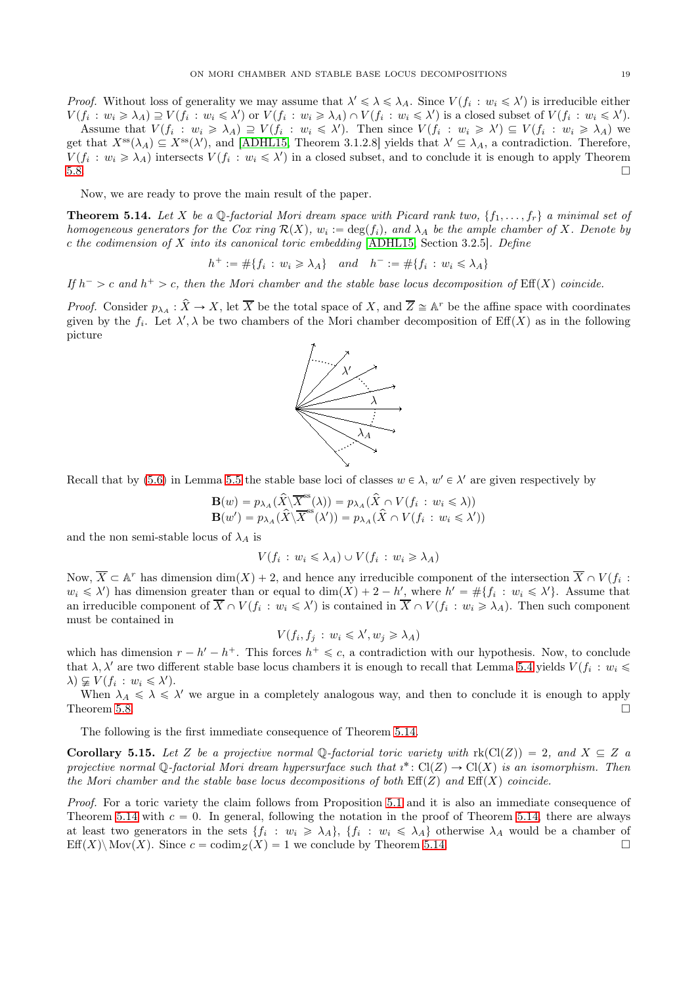*Proof.* Without loss of generality we may assume that  $\lambda' \leq \lambda \leq \lambda_A$ . Since  $V(f_i : w_i \leq \lambda')$  is irreducible either  $V(f_i: w_i \geq \lambda_A) \supseteq V(f_i: w_i \leq \lambda')$  or  $V(f_i: w_i \geq \lambda_A) \cap V(f_i: w_i \leq \lambda')$  is a closed subset of  $V(f_i: w_i \leq \lambda')$ . Assume that  $V(f_i : w_i \geq \lambda_A) \supseteq V(f_i : w_i \leq \lambda')$ . Then since  $V(f_i : w_i \geq \lambda') \subseteq V(f_i : w_i \geq \lambda_A)$  we get that  $X^{\text{ss}}(\lambda_A) \subseteq X^{\text{ss}}(\lambda')$ , and [\[ADHL15,](#page-24-1) Theorem 3.1.2.8] yields that  $\lambda' \subseteq \lambda_A$ , a contradiction. Therefore,  $V(f_i : w_i \geq \lambda_A)$  intersects  $V(f_i : w_i \leq \lambda')$  in a closed subset, and to conclude it is enough to apply Theorem  $5.8.$ 

Now, we are ready to prove the main result of the paper.

<span id="page-18-0"></span>**Theorem 5.14.** Let X be a Q-factorial Mori dream space with Picard rank two,  $\{f_1, \ldots, f_r\}$  a minimal set of homogeneous generators for the Cox ring  $\mathcal{R}(X)$ ,  $w_i := \deg(f_i)$ , and  $\lambda_A$  be the ample chamber of X. Denote by  $c$  the codimension of  $X$  into its canonical toric embedding [\[ADHL15,](#page-24-1) Section 3.2.5]. Define

 $h^+ := \#\{f_i : w_i \geq \lambda_A\}$  and  $h^- := \#\{f_i : w_i \leq \lambda_A\}$ 

If  $h^- > c$  and  $h^+ > c$ , then the Mori chamber and the stable base locus decomposition of  $\text{Eff}(X)$  coincide.

*Proof.* Consider  $p_{\lambda_A}: \hat{X} \to X$ , let  $\overline{X}$  be the total space of X, and  $\overline{Z} \cong \mathbb{A}^r$  be the affine space with coordinates given by the  $f_i$ . Let  $\lambda'$ ,  $\lambda$  be two chambers of the Mori chamber decomposition of Eff(X) as in the following picture



Recall that by [\(5.6\)](#page-16-3) in Lemma [5.5](#page-16-1) the stable base loci of classes  $w \in \lambda$ ,  $w' \in \lambda'$  are given respectively by

$$
\mathbf{B}(w) = p_{\lambda_A}(\hat{X} \setminus \overline{X}^{\text{ss}}(\lambda)) = p_{\lambda_A}(\hat{X} \cap V(f_i : w_i \le \lambda))
$$
  

$$
\mathbf{B}(w') = p_{\lambda_A}(\hat{X} \setminus \overline{X}^{\text{ss}}(\lambda')) = p_{\lambda_A}(\hat{X} \cap V(f_i : w_i \le \lambda'))
$$

and the non semi-stable locus of  $\lambda_A$  is

$$
V(f_i: w_i \leq \lambda_A) \cup V(f_i: w_i \geq \lambda_A)
$$

Now,  $\overline{X} \subset \mathbb{A}^r$  has dimension  $\dim(X) + 2$ , and hence any irreducible component of the intersection  $\overline{X} \cap V(f_i)$ :  $w_i \leq \lambda'$  has dimension greater than or equal to  $\dim(X) + 2 - h'$ , where  $h' = \#\{f_i : w_i \leq \lambda'\}$ . Assume that an irreducible component of  $\overline{X} \cap V(f_i : w_i \leq \lambda')$  is contained in  $\overline{X} \cap V(f_i : w_i \geq \lambda_A)$ . Then such component must be contained in

$$
V(f_i, f_j : w_i \leq \lambda', w_j \geq \lambda_A)
$$

which has dimension  $r - h' - h^+$ . This forces  $h^+ \leq c$ , a contradiction with our hypothesis. Now, to conclude that  $\lambda, \lambda'$  are two different stable base locus chambers it is enough to recall that Lemma [5.4](#page-16-5) yields  $V(f_i : w_i \leq$  $\lambda$ )  $\varsubsetneq V(f_i : w_i \leq \lambda')$ .

When  $\lambda_A \leq \lambda \leq \lambda'$  we argue in a completely analogous way, and then to conclude it is enough to apply Theorem [5.8.](#page-16-0)  $\Box$ 

The following is the first immediate consequence of Theorem [5.14.](#page-18-0)

<span id="page-18-1"></span>**Corollary 5.15.** Let Z be a projective normal Q-factorial toric variety with  $\text{rk}(\text{Cl}(Z)) = 2$ , and  $X \subseteq Z$  a projective normal Q-factorial Mori dream hypersurface such that  $i^*: Cl(Z) \to Cl(X)$  is an isomorphism. Then the Mori chamber and the stable base locus decompositions of both  $\text{Eff}(Z)$  and  $\text{Eff}(X)$  coincide.

Proof. For a toric variety the claim follows from Proposition [5.1](#page-15-2) and it is also an immediate consequence of Theorem [5.14](#page-18-0) with  $c = 0$ . In general, following the notation in the proof of Theorem [5.14,](#page-18-0) there are always at least two generators in the sets  $\{f_i : w_i \geq \lambda_A\}, \{f_i : w_i \leq \lambda_A\}$  otherwise  $\lambda_A$  would be a chamber of Eff(X)\ Mov(X). Since  $c = \text{codim}_Z(X) = 1$  we conclude by Theorem [5.14.](#page-18-0)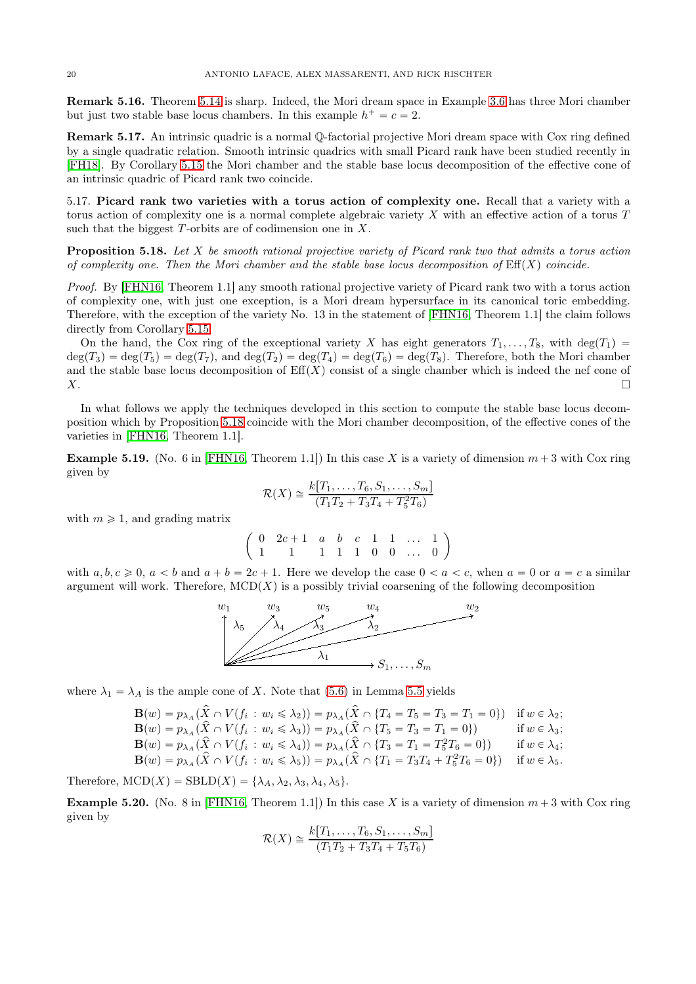<span id="page-19-0"></span>Remark 5.16. Theorem [5.14](#page-18-0) is sharp. Indeed, the Mori dream space in Example [3.6](#page-11-0) has three Mori chamber but just two stable base locus chambers. In this example  $h^+ = c = 2$ .

Remark 5.17. An intrinsic quadric is a normal Q-factorial projective Mori dream space with Cox ring defined by a single quadratic relation. Smooth intrinsic quadrics with small Picard rank have been studied recently in [\[FH18\]](#page-24-19). By Corollary [5.15](#page-18-1) the Mori chamber and the stable base locus decomposition of the effective cone of an intrinsic quadric of Picard rank two coincide.

<span id="page-19-1"></span>5.17. Picard rank two varieties with a torus action of complexity one. Recall that a variety with a torus action of complexity one is a normal complete algebraic variety X with an effective action of a torus T such that the biggest  $T$ -orbits are of codimension one in  $X$ .

<span id="page-19-2"></span>**Proposition 5.18.** Let X be smooth rational projective variety of Picard rank two that admits a torus action of complexity one. Then the Mori chamber and the stable base locus decomposition of  $\text{Eff}(X)$  coincide.

Proof. By [\[FHN16,](#page-24-9) Theorem 1.1] any smooth rational projective variety of Picard rank two with a torus action of complexity one, with just one exception, is a Mori dream hypersurface in its canonical toric embedding. Therefore, with the exception of the variety No. 13 in the statement of [\[FHN16,](#page-24-9) Theorem 1.1] the claim follows directly from Corollary [5.15.](#page-18-1)

On the hand, the Cox ring of the exceptional variety X has eight generators  $T_1, \ldots, T_8$ , with deg $(T_1)$  =  $deg(T_3) = deg(T_5) = deg(T_7)$ , and  $deg(T_2) = deg(T_4) = deg(T_6) = deg(T_8)$ . Therefore, both the Mori chamber and the stable base locus decomposition of  $Eff(X)$  consist of a single chamber which is indeed the nef cone of  $X.$ 

In what follows we apply the techniques developed in this section to compute the stable base locus decomposition which by Proposition [5.18](#page-19-2) coincide with the Mori chamber decomposition, of the effective cones of the varieties in [\[FHN16,](#page-24-9) Theorem 1.1].

**Example 5.19.** (No. 6 in [\[FHN16,](#page-24-9) Theorem 1.1]) In this case X is a variety of dimension  $m + 3$  with Cox ring given by

$$
\mathcal{R}(X) \cong \frac{k[T_1, \dots, T_6, S_1, \dots, S_m]}{(T_1 T_2 + T_3 T_4 + T_5^2 T_6)}
$$

with  $m \geq 1$ , and grading matrix

 $\begin{pmatrix} 0 & 2c+1 & a & b & c & 1 & 1 & \dots & 1 \end{pmatrix}$ 1 1 1 1 1 0 0 ... 0 ˙

with  $a, b, c \ge 0$ ,  $a < b$  and  $a + b = 2c + 1$ . Here we develop the case  $0 < a < c$ , when  $a = 0$  or  $a = c$  a similar argument will work. Therefore,  $MCD(X)$  is a possibly trivial coarsening of the following decomposition



where  $\lambda_1 = \lambda_A$  is the ample cone of X. Note that [\(5.6\)](#page-16-3) in Lemma [5.5](#page-16-1) yields

$$
\mathbf{B}(w) = p_{\lambda_A}(\hat{X} \cap V(f_i : w_i \le \lambda_2)) = p_{\lambda_A}(\hat{X} \cap \{T_4 = T_5 = T_3 = T_1 = 0\}) \text{ if } w \in \lambda_2; \n\mathbf{B}(w) = p_{\lambda_A}(\hat{X} \cap V(f_i : w_i \le \lambda_3)) = p_{\lambda_A}(\hat{X} \cap \{T_5 = T_3 = T_1 = 0\}) \text{ if } w \in \lambda_3; \n\mathbf{B}(w) = p_{\lambda_A}(\hat{X} \cap V(f_i : w_i \le \lambda_4)) = p_{\lambda_A}(\hat{X} \cap \{T_3 = T_1 = T_5^2 T_6 = 0\}) \text{ if } w \in \lambda_4; \n\mathbf{B}(w) = p_{\lambda_A}(\hat{X} \cap V(f_i : w_i \le \lambda_5)) = p_{\lambda_A}(\hat{X} \cap \{T_1 = T_3T_4 + T_5^2T_6 = 0\}) \text{ if } w \in \lambda_5.
$$

Therefore,  $MCD(X) = \text{SBLD}(X) = \{\lambda_A, \lambda_2, \lambda_3, \lambda_4, \lambda_5\}.$ 

**Example 5.20.** (No. 8 in [\[FHN16,](#page-24-9) Theorem 1.1]) In this case X is a variety of dimension  $m + 3$  with Cox ring given by

$$
\mathcal{R}(X) \cong \frac{k[T_1,\ldots,T_6,S_1,\ldots,S_m]}{(T_1T_2+T_3T_4+T_5T_6)}
$$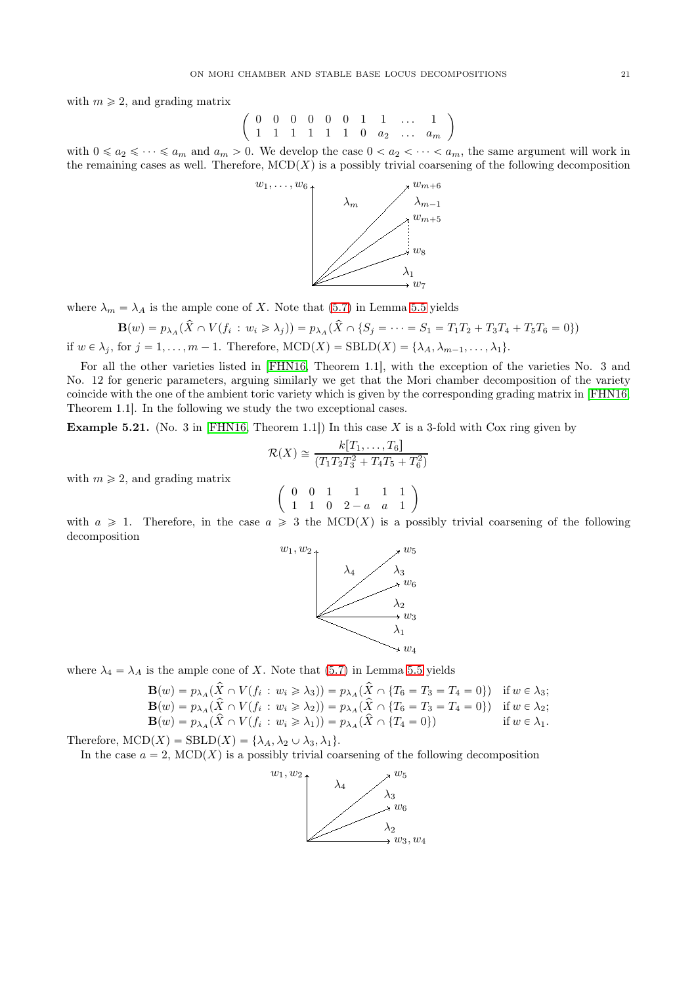with  $m \geq 2$ , and grading matrix

$$
\left(\begin{array}{ccccccccc}\n0 & 0 & 0 & 0 & 0 & 0 & 1 & 1 & \dots & 1 \\
1 & 1 & 1 & 1 & 1 & 1 & 0 & a_2 & \dots & a_m\n\end{array}\right)
$$

with  $0 \le a_2 \le \cdots \le a_m$  and  $a_m > 0$ . We develop the case  $0 < a_2 < \cdots < a_m$ , the same argument will work in the remaining cases as well. Therefore,  $MCD(X)$  is a possibly trivial coarsening of the following decomposition



where  $\lambda_m = \lambda_A$  is the ample cone of X. Note that [\(5.7\)](#page-16-4) in Lemma [5.5](#page-16-1) yields

$$
\mathbf{B}(w) = p_{\lambda_A}(\hat{X} \cap V(f_i : w_i \ge \lambda_j)) = p_{\lambda_A}(\hat{X} \cap \{S_j = \dots = S_1 = T_1T_2 + T_3T_4 + T_5T_6 = 0\})
$$

if  $w \in \lambda_j$ , for  $j = 1, ..., m - 1$ . Therefore,  $MCD(X) = \text{SBLD}(X) = \{\lambda_A, \lambda_{m-1}, ..., \lambda_1\}.$ 

For all the other varieties listed in [\[FHN16,](#page-24-9) Theorem 1.1], with the exception of the varieties No. 3 and No. 12 for generic parameters, arguing similarly we get that the Mori chamber decomposition of the variety coincide with the one of the ambient toric variety which is given by the corresponding grading matrix in [\[FHN16,](#page-24-9) Theorem 1.1]. In the following we study the two exceptional cases.

<span id="page-20-0"></span>**Example 5.21.** (No. 3 in [\[FHN16,](#page-24-9) Theorem 1.1]) In this case X is a 3-fold with Cox ring given by

$$
\mathcal{R}(X) \cong \frac{k[T_1, \dots, T_6]}{(T_1 T_2 T_3^2 + T_4 T_5 + T_6^2)}
$$

with  $m \geqslant 2$ , and grading matrix

$$
\left(\begin{array}{cccc} 0 & 0 & 1 & 1 & 1 & 1 \\ 1 & 1 & 0 & 2-a & a & 1 \end{array}\right)
$$

with  $a \geq 1$ . Therefore, in the case  $a \geq 3$  the MCD(X) is a possibly trivial coarsening of the following decomposition



where  $\lambda_4 = \lambda_A$  is the ample cone of X. Note that [\(5.7\)](#page-16-4) in Lemma [5.5](#page-16-1) yields

$$
\mathbf{B}(w) = p_{\lambda_A}(\hat{X} \cap V(f_i : w_i \ge \lambda_3)) = p_{\lambda_A}(\hat{X} \cap \{T_6 = T_3 = T_4 = 0\}) \quad \text{if } w \in \lambda_3; \\
\mathbf{B}(w) = p_{\lambda_A}(\hat{X} \cap V(f_i : w_i \ge \lambda_2)) = p_{\lambda_A}(\hat{X} \cap \{T_6 = T_3 = T_4 = 0\}) \quad \text{if } w \in \lambda_2; \\
\mathbf{B}(w) = p_{\lambda_A}(\hat{X} \cap V(f_i : w_i \ge \lambda_1)) = p_{\lambda_A}(\hat{X} \cap \{T_4 = 0\}) \quad \text{if } w \in \lambda_1.
$$

Therefore,  $MCD(X) = \text{SBLD}(X) = \{\lambda_A, \lambda_2 \cup \lambda_3, \lambda_1\}.$ 

In the case  $a = 2$ ,  $\text{MCD}(X)$  is a possibly trivial coarsening of the following decomposition

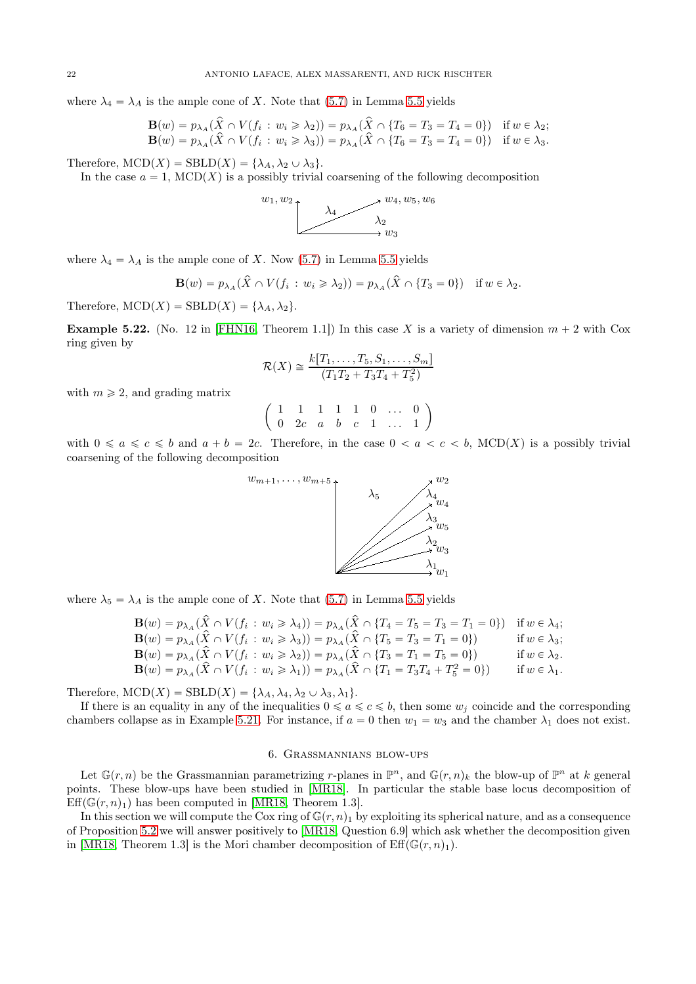where  $\lambda_4 = \lambda_A$  is the ample cone of X. Note that [\(5.7\)](#page-16-4) in Lemma [5.5](#page-16-1) yields

$$
\mathbf{B}(w) = p_{\lambda_A}(\hat{X} \cap V(f_i : w_i \ge \lambda_2)) = p_{\lambda_A}(\hat{X} \cap \{T_6 = T_3 = T_4 = 0\}) \quad \text{if } w \in \lambda_2; \\
\mathbf{B}(w) = p_{\lambda_A}(\hat{X} \cap V(f_i : w_i \ge \lambda_3)) = p_{\lambda_A}(\hat{X} \cap \{T_6 = T_3 = T_4 = 0\}) \quad \text{if } w \in \lambda_3.
$$

Therefore,  $MCD(X) = \text{SBLD}(X) = \{\lambda_A, \lambda_2 \cup \lambda_3\}.$ 

In the case  $a = 1$ , MCD(X) is a possibly trivial coarsening of the following decomposition



where  $\lambda_4 = \lambda_A$  is the ample cone of X. Now [\(5.7\)](#page-16-4) in Lemma [5.5](#page-16-1) yields

$$
\mathbf{B}(w) = p_{\lambda_A}(\hat{X} \cap V(f_i : w_i \ge \lambda_2)) = p_{\lambda_A}(\hat{X} \cap \{T_3 = 0\}) \text{ if } w \in \lambda_2.
$$

Therefore,  $MCD(X) = SBLD(X) = {\lambda_A, \lambda_2}.$ 

**Example 5.22.** (No. 12 in [\[FHN16,](#page-24-9) Theorem 1.1]) In this case X is a variety of dimension  $m + 2$  with Cox ring given by

$$
\mathcal{R}(X) \cong \frac{k[T_1, \dots, T_5, S_1, \dots, S_m]}{(T_1T_2 + T_3T_4 + T_5^2)}
$$

with  $m \geq 2$ , and grading matrix

$$
\left(\begin{array}{cccccc} 1 & 1 & 1 & 1 & 1 & 0 & \ldots & 0 \\ 0 & 2c & a & b & c & 1 & \ldots & 1 \end{array}\right)
$$

with  $0 \le a \le c \le b$  and  $a + b = 2c$ . Therefore, in the case  $0 < a < c < b$ , MCD(X) is a possibly trivial coarsening of the following decomposition



where  $\lambda_5 = \lambda_A$  is the ample cone of X. Note that [\(5.7\)](#page-16-4) in Lemma [5.5](#page-16-1) yields

$$
\mathbf{B}(w) = p_{\lambda A}(\hat{X} \cap V(f_i : w_i \ge \lambda_4)) = p_{\lambda A}(\hat{X} \cap \{T_4 = T_5 = T_3 = T_1 = 0\}) \text{ if } w \in \lambda_4; \n\mathbf{B}(w) = p_{\lambda A}(\hat{X} \cap V(f_i : w_i \ge \lambda_3)) = p_{\lambda A}(\hat{X} \cap \{T_5 = T_3 = T_1 = 0\}) \text{ if } w \in \lambda_3; \n\mathbf{B}(w) = p_{\lambda A}(\hat{X} \cap V(f_i : w_i \ge \lambda_2)) = p_{\lambda A}(\hat{X} \cap \{T_3 = T_1 = T_5 = 0\}) \text{ if } w \in \lambda_2. \n\mathbf{B}(w) = p_{\lambda A}(\hat{X} \cap V(f_i : w_i \ge \lambda_1)) = p_{\lambda A}(\hat{X} \cap \{T_1 = T_3T_4 + T_5^2 = 0\}) \text{ if } w \in \lambda_1.
$$

Therefore,  $MCD(X) = SBLD(X) = {\lambda_A, \lambda_4, \lambda_2 \cup \lambda_3, \lambda_1}.$ 

If there is an equality in any of the inequalities  $0 \le a \le c \le b$ , then some  $w_j$  coincide and the corresponding chambers collapse as in Example [5.21.](#page-20-0) For instance, if  $a = 0$  then  $w_1 = w_3$  and the chamber  $\lambda_1$  does not exist.

### 6. Grassmannians blow-ups

<span id="page-21-0"></span>Let  $\mathbb{G}(r,n)$  be the Grassmannian parametrizing r-planes in  $\mathbb{P}^n$ , and  $\mathbb{G}(r,n)_k$  the blow-up of  $\mathbb{P}^n$  at k general points. These blow-ups have been studied in [\[MR18\]](#page-25-9). In particular the stable base locus decomposition of  $Eff(\mathbb{G}(r, n)_1)$  has been computed in [\[MR18,](#page-25-9) Theorem 1.3].

In this section we will compute the Cox ring of  $\mathbb{G}(r, n)$  by exploiting its spherical nature, and as a consequence of Proposition [5.2](#page-15-1) we will answer positively to [\[MR18,](#page-25-9) Question 6.9] which ask whether the decomposition given in [\[MR18,](#page-25-9) Theorem 1.3] is the Mori chamber decomposition of  $\text{Eff}(\mathbb{G}(r,n)_1)$ .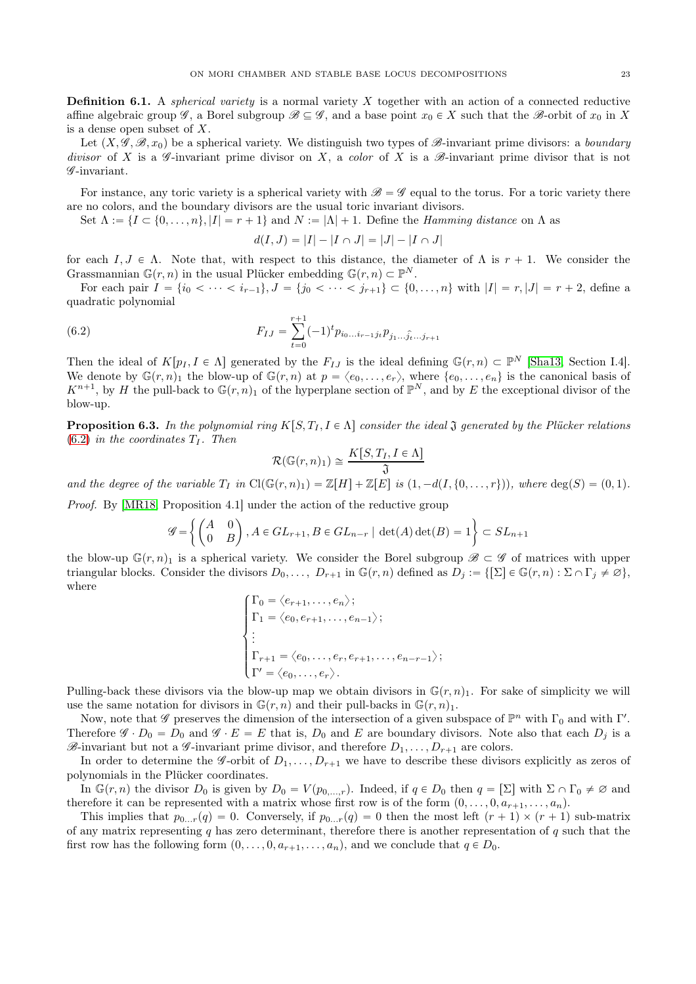**Definition 6.1.** A *spherical variety* is a normal variety  $X$  together with an action of a connected reductive affine algebraic group  $\mathscr{G}$ , a Borel subgroup  $\mathscr{B} \subseteq \mathscr{G}$ , and a base point  $x_0 \in X$  such that the  $\mathscr{B}$ -orbit of  $x_0$  in X is a dense open subset of X.

Let  $(X, \mathscr{G}, \mathscr{B}, x_0)$  be a spherical variety. We distinguish two types of  $\mathscr{B}$ -invariant prime divisors: a boundary divisor of X is a  $\mathscr G$ -invariant prime divisor on X, a color of X is a  $\mathscr G$ -invariant prime divisor that is not G -invariant.

For instance, any toric variety is a spherical variety with  $\mathscr{B} = \mathscr{G}$  equal to the torus. For a toric variety there are no colors, and the boundary divisors are the usual toric invariant divisors.

Set  $\Lambda := \{I \subset \{0, \ldots, n\}, |I| = r + 1\}$  and  $N := |\Lambda| + 1$ . Define the *Hamming distance* on  $\Lambda$  as

<span id="page-22-0"></span>
$$
d(I, J) = |I| - |I \cap J| = |J| - |I \cap J|
$$

for each  $I, J \in \Lambda$ . Note that, with respect to this distance, the diameter of  $\Lambda$  is  $r + 1$ . We consider the Grassmannian  $\mathbb{G}(r, n)$  in the usual Plücker embedding  $\mathbb{G}(r, n) \subset \mathbb{P}^N$ .

For each pair  $I = \{i_0 < \cdots < i_{r-1}\}, J = \{j_0 < \cdots < j_{r+1}\} \subset \{0, \ldots, n\}$  with  $|I| = r, |J| = r + 2$ , define a quadratic polynomial

(6.2) 
$$
F_{IJ} = \sum_{t=0}^{r+1} (-1)^t p_{i_0...i_{r-1}j_t} p_{j_1...j_{t}...j_{r+1}}
$$

Then the ideal of  $K[p_I, I \in \Lambda]$  generated by the  $F_{IJ}$  is the ideal defining  $\mathbb{G}(r, n) \subset \mathbb{P}^N$  [\[Sha13,](#page-25-15) Section I.4]. We denote by  $\mathbb{G}(r, n)_1$  the blow-up of  $\mathbb{G}(r, n)$  at  $p = \langle e_0, \ldots, e_r \rangle$ , where  $\{e_0, \ldots, e_n\}$  is the canonical basis of  $K^{n+1}$ , by H the pull-back to  $\mathbb{G}(r,n)_1$  of the hyperplane section of  $\mathbb{P}^N$ , and by E the exceptional divisor of the blow-up.

<span id="page-22-1"></span>**Proposition 6.3.** In the polynomial ring  $K[S, T_I, I \in \Lambda]$  consider the ideal  $\mathfrak J$  generated by the Plücker relations  $(6.2)$  in the coordinates  $T_I$ . Then

$$
\mathcal{R}(\mathbb{G}(r,n)_1) \cong \frac{K[S,T_I, I \in \Lambda]}{\mathfrak{J}}
$$

and the degree of the variable  $T_I$  in  $Cl(\mathbb{G}(r, n)_1) = \mathbb{Z}[H] + \mathbb{Z}[E]$  is  $(1, -d(I, \{0, \ldots, r\}))$ , where  $deg(S) = (0, 1)$ .

Proof. By [\[MR18,](#page-25-9) Proposition 4.1] under the action of the reductive group

$$
\mathcal{G} = \left\{ \begin{pmatrix} A & 0 \\ 0 & B \end{pmatrix}, A \in GL_{r+1}, B \in GL_{n-r} \mid \det(A) \det(B) = 1 \right\} \subset SL_{n+1}
$$

the blow-up  $\mathbb{G}(r, n)$  is a spherical variety. We consider the Borel subgroup  $\mathscr{B} \subset \mathscr{G}$  of matrices with upper triangular blocks. Consider the divisors  $D_0, \ldots, D_{r+1}$  in  $\mathbb{G}(r,n)$  defined as  $D_j := \{[\Sigma] \in \mathbb{G}(r,n) : \Sigma \cap \Gamma_j \neq \emptyset\},\$ where

$$
\begin{cases}\n\Gamma_0 = \langle e_{r+1}, \dots, e_n \rangle; \\
\Gamma_1 = \langle e_0, e_{r+1}, \dots, e_{n-1} \rangle; \\
\vdots \\
\Gamma_{r+1} = \langle e_0, \dots, e_r, e_{r+1}, \dots, e_{n-r-1} \rangle; \\
\Gamma' = \langle e_0, \dots, e_r \rangle.\n\end{cases}
$$

Pulling-back these divisors via the blow-up map we obtain divisors in  $\mathbb{G}(r, n)$ . For sake of simplicity we will use the same notation for divisors in  $\mathbb{G}(r, n)$  and their pull-backs in  $\mathbb{G}(r, n)$ .

Now, note that  $\mathscr G$  preserves the dimension of the intersection of a given subspace of  $\mathbb P^n$  with  $\Gamma_0$  and with  $\Gamma'$ . Therefore  $\mathscr{G} \cdot D_0 = D_0$  and  $\mathscr{G} \cdot E = E$  that is,  $D_0$  and E are boundary divisors. Note also that each  $D_i$  is a  $\mathscr{B}-$ invariant but not a  $\mathscr{G}-$ invariant prime divisor, and therefore  $D_1, \ldots, D_{r+1}$  are colors.

In order to determine the *G*-orbit of  $D_1, \ldots, D_{r+1}$  we have to describe these divisors explicitly as zeros of polynomials in the Plücker coordinates.

In  $\mathbb{G}(r, n)$  the divisor  $D_0$  is given by  $D_0 = V(p_{0,\dots,r})$ . Indeed, if  $q \in D_0$  then  $q = \lbrack \Sigma \rbrack$  with  $\Sigma \cap \Gamma_0 \neq \emptyset$  and therefore it can be represented with a matrix whose first row is of the form  $(0, \ldots, 0, a_{r+1}, \ldots, a_n)$ .

This implies that  $p_{0...r}(q) = 0$ . Conversely, if  $p_{0...r}(q) = 0$  then the most left  $(r + 1) \times (r + 1)$  sub-matrix of any matrix representing  $q$  has zero determinant, therefore there is another representation of  $q$  such that the first row has the following form  $(0, \ldots, 0, a_{r+1}, \ldots, a_n)$ , and we conclude that  $q \in D_0$ .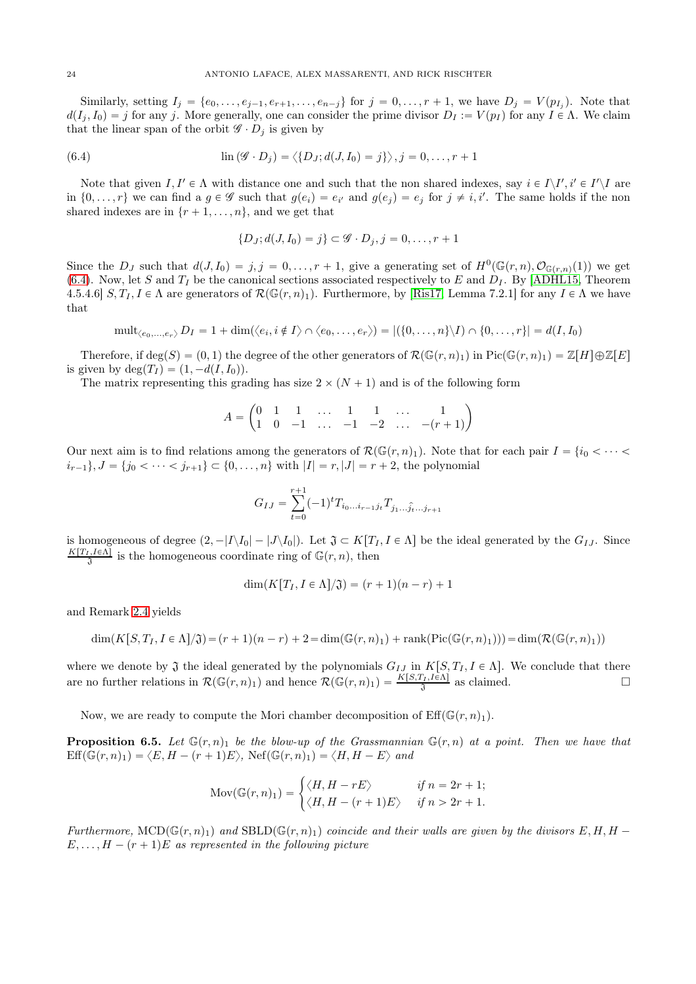Similarly, setting  $I_j = \{e_0, \ldots, e_{j-1}, e_{r+1}, \ldots, e_{n-j}\}\$  for  $j = 0, \ldots, r + 1$ , we have  $D_j = V(p_{I_j})$ . Note that  $d(I_j, I_0) = j$  for any j. More generally, one can consider the prime divisor  $D_I := V(p_I)$  for any  $I \in \Lambda$ . We claim that the linear span of the orbit  $\mathscr{G} \cdot D_j$  is given by

(6.4) 
$$
\operatorname{lin}(\mathscr{G} \cdot D_j) = \langle \{D_J; d(J, I_0) = j\} \rangle, j = 0, \ldots, r+1
$$

Note that given  $I, I' \in \Lambda$  with distance one and such that the non shared indexes, say  $i \in I \setminus I', i' \in I' \setminus I$  are in  $\{0,\ldots,r\}$  we can find a  $g \in \mathscr{G}$  such that  $g(e_i) = e_{i'}$  and  $g(e_j) = e_j$  for  $j \neq i, i'$ . The same holds if the non shared indexes are in  $\{r + 1, \ldots, n\}$ , and we get that

<span id="page-23-0"></span>
$$
\{D_J; d(J, I_0) = j\} \subset \mathscr{G} \cdot D_j, j = 0, \dots, r + 1
$$

Since the  $D_J$  such that  $d(J, I_0) = j, j = 0, \ldots, r + 1$ , give a generating set of  $H^0(\mathbb{G}(r,n), \mathcal{O}_{\mathbb{G}(r,n)}(1))$  we get [\(6.4\)](#page-23-0). Now, let S and  $T_I$  be the canonical sections associated respectively to E and  $D_I$ . By [\[ADHL15,](#page-24-1) Theorem 4.5.4.6]  $S, T_I, I \in \Lambda$  are generators of  $\mathcal{R}(\mathbb{G}(r,n)_1)$ . Furthermore, by [\[Ris17,](#page-25-16) Lemma 7.2.1] for any  $I \in \Lambda$  we have that

$$
\operatorname{mult}_{\langle e_0,\ldots,e_r\rangle} D_I=1+\dim(\langle e_i,i\notin I\rangle\cap\langle e_0,\ldots,e_r\rangle)=|(\{0,\ldots,n\}\setminus I)\cap\{0,\ldots,r\}|=d(I,I_0)
$$

Therefore, if  $\deg(S) = (0, 1)$  the degree of the other generators of  $\mathcal{R}(\mathbb{G}(r, n)_1)$  in  $\text{Pic}(\mathbb{G}(r, n)_1) = \mathbb{Z}[H] \oplus \mathbb{Z}[E]$ is given by  $deg(T_I) = (1, -d(I, I_0)).$ 

The matrix representing this grading has size  $2 \times (N + 1)$  and is of the following form

$$
A = \begin{pmatrix} 0 & 1 & 1 & \dots & 1 & 1 & \dots & 1 \\ 1 & 0 & -1 & \dots & -1 & -2 & \dots & -(r+1) \end{pmatrix}
$$

Our next aim is to find relations among the generators of  $\mathcal{R}(\mathbb{G}(r,n)_1)$ . Note that for each pair  $I = \{i_0 < \cdots < i_n\}$  $i_{r-1}$ ,  $J = \{j_0 < \cdots < j_{r+1}\} \subset \{0, \ldots, n\}$  with  $|I| = r, |J| = r + 2$ , the polynomial

$$
G_{IJ} = \sum_{t=0}^{r+1} (-1)^t T_{i_0...i_{r-1}j_t} T_{j_1...j_{t}...j_{r+1}}
$$

is homogeneous of degree  $(2, -|I\setminus I_0| - |J\setminus I_0|)$ . Let  $\mathfrak{J} \subset K[T_I, I \in \Lambda]$  be the ideal generated by the  $G_{IJ}$ . Since  $\frac{K[T_I,I\in\Lambda]}{3}$  is the homogeneous coordinate ring of  $\mathbb{G}(r,n)$ , then

$$
\dim(K[T_I, I \in \Lambda]/\mathfrak{J}) = (r+1)(n-r) + 1
$$

and Remark [2.4](#page-4-0) yields

$$
\dim(K[S,T_I,I \in \Lambda]/\mathfrak{J}) = (r+1)(n-r) + 2 = \dim(\mathbb{G}(r,n)_1) + \operatorname{rank}(\operatorname{Pic}(\mathbb{G}(r,n)_1))) = \dim(\mathcal{R}(\mathbb{G}(r,n)_1))
$$

where we denote by  $\mathfrak J$  the ideal generated by the polynomials  $G_{IJ}$  in  $K[S, T_I, I \in \Lambda]$ . We conclude that there are no further relations in  $\mathcal{R}(\mathbb{G}(r,n)_1)$  and hence  $\mathcal{R}(\mathbb{G}(r,n)_1) = \frac{K[S,T_I,I\bar{\epsilon}\Lambda]}{\mathfrak{J}}$  as claimed.

Now, we are ready to compute the Mori chamber decomposition of  $\mathrm{Eff}(\mathbb{G}(r,n_1)).$ 

**Proposition 6.5.** Let  $\mathbb{G}(r, n)$  be the blow-up of the Grassmannian  $\mathbb{G}(r, n)$  at a point. Then we have that  $\text{Eff}(\mathbb{G}(r,n)_1) = \langle E, H - (r+1)E \rangle$ ,  $\text{Nef}(\mathbb{G}(r,n)_1) = \langle H, H - E \rangle$  and

$$
Mov(\mathbb{G}(r,n)_1) = \begin{cases} \langle H, H - rE \rangle & \text{if } n = 2r + 1; \\ \langle H, H - (r+1)E \rangle & \text{if } n > 2r + 1. \end{cases}
$$

Furthermore,  $\text{MCD}(\mathbb{G}(r, n)_1)$  and  $\text{SBD}(\mathbb{G}(r, n)_1)$  coincide and their walls are given by the divisors  $E, H, H E, \ldots, H - (r + 1)E$  as represented in the following picture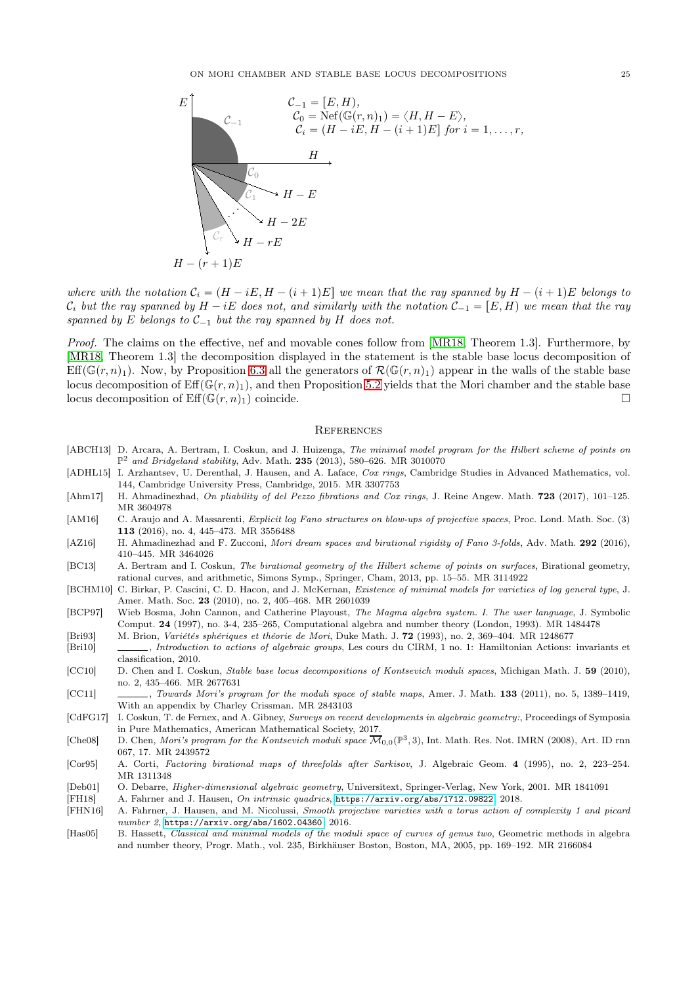ON MORI CHAMBER AND STABLE BASE LOCUS DECOMPOSITIONS 25



where with the notation  $C_i = (H - iE, H - (i + 1)E]$  we mean that the ray spanned by  $H - (i + 1)E$  belongs to  $\mathcal{C}_i$  but the ray spanned by  $H - iE$  does not, and similarly with the notation  $\mathcal{C}_{-1} = [E, H]$  we mean that the ray spanned by E belongs to  $C_{-1}$  but the ray spanned by H does not.

Proof. The claims on the effective, nef and movable cones follow from [\[MR18,](#page-25-9) Theorem 1.3]. Furthermore, by [\[MR18,](#page-25-9) Theorem 1.3] the decomposition displayed in the statement is the stable base locus decomposition of Eff( $\mathbb{G}(r, n)$ <sub>1</sub>). Now, by Proposition [6.3](#page-22-1) all the generators of  $\mathcal{R}(\mathbb{G}(r, n)_1)$  appear in the walls of the stable base locus decomposition of  $Eff(\mathbb{G}(r, n)_1)$ , and then Proposition [5.2](#page-15-1) yields that the Mori chamber and the stable base locus decomposition of  $\mathrm{Eff}(\mathbb{G}(r,n)_1)$  coincide.

### <span id="page-24-0"></span>**REFERENCES**

- <span id="page-24-4"></span>[ABCH13] D. Arcara, A. Bertram, I. Coskun, and J. Huizenga, The minimal model program for the Hilbert scheme of points on  $\mathbb{P}^2$  and Bridgeland stability, Adv. Math. 235 (2013), 580-626. MR 3010070
- <span id="page-24-1"></span>[ADHL15] I. Arzhantsev, U. Derenthal, J. Hausen, and A. Laface, Cox rings, Cambridge Studies in Advanced Mathematics, vol. 144, Cambridge University Press, Cambridge, 2015. MR 3307753
- <span id="page-24-12"></span>[Ahm17] H. Ahmadinezhad, On pliability of del Pezzo fibrations and Cox rings, J. Reine Angew. Math. 723 (2017), 101-125. MR 3604978
- <span id="page-24-8"></span>[AM16] C. Araujo and A. Massarenti, *Explicit log Fano structures on blow-ups of projective spaces*, Proc. Lond. Math. Soc. (3) 113 (2016), no. 4, 445–473. MR 3556488
- <span id="page-24-11"></span>[AZ16] H. Ahmadinezhad and F. Zucconi, Mori dream spaces and birational rigidity of Fano 3-folds, Adv. Math. 292 (2016), 410–445. MR 3464026
- <span id="page-24-3"></span>[BC13] A. Bertram and I. Coskun, The birational geometry of the Hilbert scheme of points on surfaces, Birational geometry, rational curves, and arithmetic, Simons Symp., Springer, Cham, 2013, pp. 15–55. MR 3114922
- <span id="page-24-14"></span>[BCHM10] C. Birkar, P. Cascini, C. D. Hacon, and J. McKernan, Existence of minimal models for varieties of log general type, J. Amer. Math. Soc. 23 (2010), no. 2, 405–468. MR 2601039
- <span id="page-24-18"></span>[BCP97] Wieb Bosma, John Cannon, and Catherine Playoust, The Magma algebra system. I. The user language, J. Symbolic Comput. 24 (1997), no. 3-4, 235–265, Computational algebra and number theory (London, 1993). MR 1484478

<span id="page-24-15"></span>[Bri93] M. Brion, Variétés sphériques et théorie de Mori, Duke Math. J. 72 (1993), no. 2, 369–404. MR 1248677

- <span id="page-24-17"></span>[Bri10] , Introduction to actions of algebraic groups, Les cours du CIRM, 1 no. 1: Hamiltonian Actions: invariants et classification, 2010.
- <span id="page-24-6"></span>[CC10] D. Chen and I. Coskun, Stable base locus decompositions of Kontsevich moduli spaces, Michigan Math. J. 59 (2010), no. 2, 435–466. MR 2677631
- <span id="page-24-7"></span>[CC11] , Towards Mori's program for the moduli space of stable maps, Amer. J. Math. 133 (2011), no. 5, 1389–1419, With an appendix by Charley Crissman. MR 2843103
- <span id="page-24-16"></span>[CdFG17] I. Coskun, T. de Fernex, and A. Gibney, Surveys on recent developments in algebraic geometry:, Proceedings of Symposia in Pure Mathematics, American Mathematical Society, 2017.
- <span id="page-24-5"></span>[Che08] D. Chen, *Mori's program for the Kontsevich moduli space*  $\overline{\mathcal{M}}_{0,0}(\mathbb{P}^3,3)$ , Int. Math. Res. Not. IMRN (2008), Art. ID rnn 067, 17. MR 2439572
- <span id="page-24-10"></span>[Cor95] A. Corti, Factoring birational maps of threefolds after Sarkisov, J. Algebraic Geom. 4 (1995), no. 2, 223–254. MR 1311348
- <span id="page-24-13"></span>[Deb01] O. Debarre, Higher-dimensional algebraic geometry, Universitext, Springer-Verlag, New York, 2001. MR 1841091

<span id="page-24-19"></span>[FH18] A. Fahrner and J. Hausen, On intrinsic quadrics, <https://arxiv.org/abs/1712.09822>, 2018.

- <span id="page-24-9"></span>[FHN16] A. Fahrner, J. Hausen, and M. Nicolussi, Smooth projective varieties with a torus action of complexity 1 and picard number 2, <https://arxiv.org/abs/1602.04360>, 2016.
- <span id="page-24-2"></span>[Has05] B. Hassett, Classical and minimal models of the moduli space of curves of genus two, Geometric methods in algebra and number theory, Progr. Math., vol. 235, Birkhäuser Boston, Boston, MA, 2005, pp. 169–192. MR 2166084